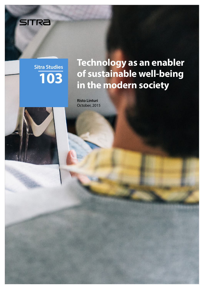# **Sitra Studies 103**

# **Technology as an enabler of sustainable well-being in the modern society**

**Risto Linturi** October, 2015



SITRA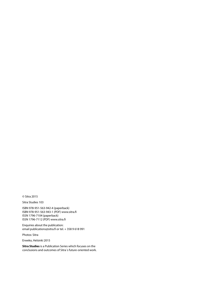© Sitra 2015

Sitra Studies 103

ISBN 978-951-563-942-4 (paperback) ISBN 978-951-563-943-1 (PDF) www.sitra.fi ISSN 1796-7104 (paperback) ISSN 1796-7112 (PDF) www.sitra.fi

Enquiries about the publication: email publications@sitra.fi or tel. + 358 9 618 991

Photos: Sitra

Erweko, Helsinki 2015

**Sitra Studies** is a Publication Series which focuses on the conclusions and outcomes of Sitra´s future-oriented work.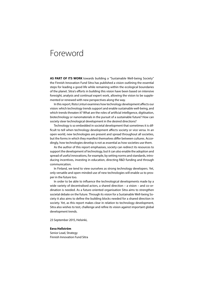# <span id="page-2-0"></span>Foreword

**AS PART OF ITS WORK** towards building a "Sustainable Well-being Society" the Finnish Innovation Fund Sitra has published a vision outlining the essential steps for leading a good life while remaining within the ecological boundaries of the planet. Sitra's efforts in building this vision have been based on intensive foresight, analysis and continual expert work, allowing the vision to be supplemented or renewed with new perspectives along the way.

In this report, Risto Linturi examines how technology development affects our vision: which technology trends support and enable sustainable well-being, and which trends threaten it? What are the roles of artificial intelligence, digitisation, biotechnology or nanomaterials in the pursuit of a sustainable future? How can society steer technological development in the desired directions?

Technology is so embedded in societal development that sometimes it is difficult to tell when technology development affects society or vice versa. In an open world, new technologies are present and spread throughout all societies, but the forms in which they manifest themselves differ between cultures. Accordingly, how technologies develop is not as essential as how societies use them.

As the author of this report emphasises, society can redirect its resources to support the development of technology, but it can also enable the adoption and spread of useful innovations, for example, by setting norms and standards, introducing incentives, investing in education, directing R&D funding and through communication.

In Finland, we tend to view ourselves as strong technology developers. Yet, only versatile and open-minded use of new technologies will enable us to prosper in the future too.

In order to be able to influence the technological developments made by a wide variety of decentralised actors, a shared direction – a vision – and co-ordination is needed. As a future-oriented organisation Sitra aims to strengthen societal debate on the future. Through its vision for a Sustainable Well-being Society it also aims to define the building blocks needed for a shared direction in society. Yet, as this report makes clear in relation to technology development, Sitra also wishes to test, challenge and refine its vision against important global development trends.

23 September 2015, Helsinki,

#### **Eeva Hellström**

Senior Lead, Strategy Finnish Innovation Fund Sitra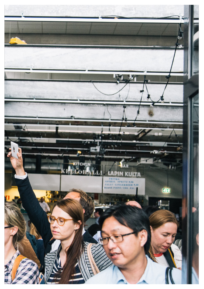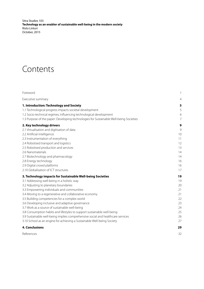Sitra Studies 103 **Technology as an enabler of sustainable well-being in the modern society**  Risto Linturi October, 2015

# Contents

| Foreword                                                                               | 1              |
|----------------------------------------------------------------------------------------|----------------|
| Executive summary                                                                      | $\overline{4}$ |
| 1. Introduction: Technology and Society                                                | 5              |
| 1.1 Technological progress impacts societal development                                | 5              |
| 1.2 Socio-technical regimes; influencing technological development                     | 6              |
| 1.3 Purpose of the paper: Developing technologies for Sustainable Well-being Societies | 7              |
| 2. Key technology drivers                                                              | 9              |
| 2.1 Virtualisation and digitisation of data                                            | 9              |
| 2.2 Artificial intelligence                                                            | 10             |
| 2.3 Instrumentation of everything                                                      | 11             |
| 2.4 Robotised transport and logistics                                                  | 12             |
| 2.5 Robotised production and services                                                  | 13             |
| 2.6 Nanomaterials                                                                      | 14             |
| 2.7 Biotechnology and pharmacology                                                     | 14             |
| 2.8 Energy technology                                                                  | 16             |
| 2.9 Digital crowd platforms                                                            | 16             |
| 2.10 Globalisation of ICT structures                                                   | 17             |
| 3. Technology impacts for Sustainable Well-being Societies                             | 19             |
| 3.1 Addressing well-being in a holistic way                                            | 19             |
| 3.2 Adjusting to planetary boundaries                                                  | 20             |
| 3.3 Empowering individuals and communities                                             | 21             |
| 3.4 Moving to a regenerative and collaborative economy                                 | 21             |
| 3.5 Building competencies for a complex world                                          | 22             |
| 3.6 Developing inclusive and adaptive governance                                       | 23             |
| 3.7 Work as a source of sustainable well-being                                         | 24             |
| 3.8 Consumption habits and lifestyles to support sustainable well-being                | 25             |
| 3.9 Sustainable well-being implies comprehensive social and healthcare services        | 26             |
| 3.10 School as an engine for achieving a Sustainable Well-being Society                | 27             |
| <b>4. Conclusions</b>                                                                  | 29             |
| References                                                                             | 32             |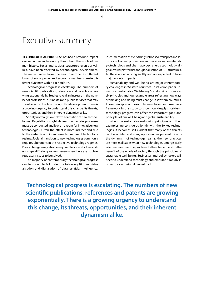# <span id="page-5-0"></span>Executive summary

**TECHNOLOGICAL PROGRESS** has had a profound impact on our culture and economy throughout the whole of human history. Social and societal structures, even our values, have been affected by technological development. The impact varies from one area to another as different bases of social power and economic readiness create different dynamics within each culture.

Technological progress is escalating. The numbers of new scientific publications, references and patents are growing exponentially. Studies reveal an increase in the number of professions, businesses and public services that may soon become obsolete through this development. There is a growing urgency to understand this change, its threats, opportunities, and their inherent dynamism alike.

Society normally slows down adaptation of new technologies. Regulations might define how certain processes must be conducted and leave no room for innovative new technologies. Often the effect is more indirect and due to the systemic and interconnected nature of technology realms. Societal transition to new technologies commonly requires alterations in the respective technology regimes. Policy changes may also be required to solve chicken-andegg-type diffusion problems even when there are no clear regulatory issues to be solved.

The majority of contemporary technological progress can be shown to fall under the following 10 titles: virtualisation and digitisation of data; artificial intelligence; instrumentation of everything; robotised transport and logistics; robotised production and services; nanomaterials; biotechnology and pharmacology; energy technology; digital crowd platforms; and globalisation of ICT structures. All these are advancing swiftly and are expected to have major societal impacts.

Sustainability and well-being are major contemporary challenges in Western countries. In its vision paper, Towards a Sustainable Well-being Society, Sitra promotes six principles and four example areas reflecting how ways of thinking and doing must change in Western countries. These principles and example areas have been used as a framework in this study to show how deeply short-term technology progress can affect the important goals and principles of our well-being and global sustainability.

When the sustainable well-being principles and their examples are considered jointly with the 10 key technologies, it becomes self-evident that many of the threats can be avoided and many opportunities pursued. Due to the dynamism of technology realms, the new practices are most malleable when new technologies emerge. Early adapters can steer the practices to their benefit and to the benefit of the whole of society through the principles of sustainable well-being. Businesses and policymakers will need to understand technology and embrace it rapidly in order to avoid being drowned by it.

**Technological progress is escalating. The numbers of new scientific publications, references and patents are growing exponentially. There is a growing urgency to understand this change, its threats, opportunities, and their inherent dynamism alike.**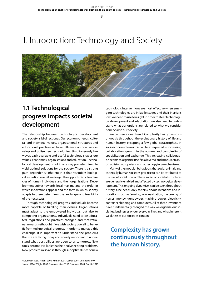# <span id="page-6-0"></span>1. Introduction: Technology and Society



# **1.1 Technological progress impacts societal development**

The relationship between technological development and society is bi-directional. Our economic needs, cultural and individual values, organisational structures and educational practices all have influence on how we develop and utilise new technologies. Simultaneously however, each available and useful technology shapes our values, economies, organisations and education. Technological development is not in any way predetermined to yield optimal solutions for the society. There is a strong path dependency inherent in it that resembles biological evolution even if we forget the opportunistic tendencies of human individuals and their organisations. Development strives towards local maxima and the order in which innovations appear and the form in which society adapts to them determines the landscape and feasibility of the next steps.

Through technological progress, individuals become more capable of fulfilling their desires. Organisations must adapt to the empowered individual, but also to competing organisations. Individuals need to be educated, regulations and practices changed and motivational rewards rethought if we wish society overall to benefit from technological progress. In order to manage this challenge, it is important to understand the problems that we are facing today and equally important to understand what possibilities are open to us tomorrow. New tools become available that help solve existing problems. New problems also arise through suboptimal uses of new

1 Kauffman 1995; Wright 2000; Mithen 2004; Carroll 2007; Durkheim 1997 2 Mann 1986; Wright 2000; Diamond et al. 1998; Diamond 2005; Beattie 2010 technology. Interventions are most effective when emerging technologies are in labile stages and their inertia is low. We need to use foresight in order to steer technological development and adaptation. We also need to understand what our options are related to what we consider beneficial to our society.

We can see a clear trend. Complexity has grown continuously throughout the evolutionary history of life and human history, excepting a few global catastrophes<sup>1</sup>. In socioeconomic terms this can be interpreted as increasing collaboration, growth in the volume and complexity of specialisation and exchange. This increasing collaboration seems to organise itself in a layered and modular fashion utilising autopoiesis and other copying mechanisms.

Many of the modular behaviours that social animals and especially human societies give rise to can be attributed to the use of social power. These social or societal structures are generally enabled and affected by technological development. This ongoing dynamism can be seen throughout history. One needs only to think about inventions and innovations such as farming, iron, navigation, the taming of horses, money, gunpowder, machine power, electricity, container shipping and computers. All of these inventions have fundamentally changed the way we organise our societies, businesses or our everyday lives and what inherent weaknesses our societies contain<sup>2</sup>.

### **Complexity has grown continuously throughout the human history.**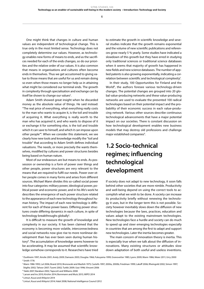<span id="page-7-0"></span>One might think that changes in culture and human values are independent of technological change. This is true only in the most limited sense. Technology does not completely determine our values. However, as technology enables new forms of means to ends, and as the sacrifices needed for each of the ends changes, so do our priorities and the relative order of our values. It is also common that means in organisations and cultures often become ends in themselves. Thus we get accustomed to giving value to those means that are useful for us and remain doing so even when those means no longer help us in attaining what might be considered our terminal ends. The growth in complexity through specialisation and exchange can by itself be shown to change our values<sup>3</sup>.

Adam Smith showed great insight when he discarded money as the absolute value of things. He said instead: "The real price of everything, what everything really costs to the man who wants to acquire it, is the toil and trouble of acquiring it. What everything is really worth to the man who has acquired it, and who wants to dispose of it or exchange it for something else, is the toil and trouble which it can save to himself, and which it can impose upon other people"4 . When we consider this statement, we see clearly how new tools and knowledge modify the "toil and trouble" that according to Adam Smith defines individual valuations. The needs, or more precisely the wants themselves, modified by cultures and power structures besides being based on human nature.

Most of our endeavours are but means to ends. As possession or ownership is a form of power over things and other people, power structures are very relevant to the means that are required to fulfil our needs. Power over other people comes in many forms and arises from different sources. Michael Mann divides this so-called social power into four categories: military power, ideological power, political power and economic power, and in his life's work he describes the emergence of each power structure related to the appearance of each new technology throughout human history. The impact of each new technology is different for each of these power bases. Differing power structures create differing dynamics in each culture, in spite of technology breakthroughs globally<sup>5</sup>.

It is difficult to measure the growth of knowledge and complexity in our society. It has been claimed that the economy is becoming more volatile, interconnectedness and social networks now give rise to more nonlinear development than has ever been seen during human history<sup>6</sup>. The accumulation of knowledge seems however to be accelerating. It may be assumed that scientific knowledge somehow corresponds to it. Researchers have tried

to estimate the growth in scientific knowledge and several studies indicate that the growth remains exponential and the volume of new scientific publications and references grow nearly 5 % yearly. Some studies have indicated a slowdown of this growth but they have erred in studying only traditional sciences or traditional science databases when it seems that majority of growth has happened in new fields and new science databases. The number of applied patents is also growing exponentially, indicating a correlation between scientific and technological complexity<sup>7</sup>.

In their study, 100 Opportunities for Finland and the World<sup>8</sup>, the authors foresee various technology-driven changes. The potential changes are grouped into 20 global value-producing networks and these value-producing networks are used to evaluate the presented 100 radical technologies based on their potential impact and the probability of their economic success in each value-producing network. Various other sources describe continuous technological advancements that have a major potential impact on our societies. There is constant discussion on how technological development enables new business models that may destroy old professions and challenge major established companies<sup>9</sup>.

# **1.2 Socio-technical regimes; influencing technological development**

If society does not adapt to new technology, it soon falls behind other societies that are more nimble. Productivity and well-being depend on using the correct tools to accomplish what we wish to be done. A society can increase its productivity briefly without renewing the technology it uses, but in the longer term this is not possible. Society however inevitably slows down the diffusion of new technologies because the laws, practices, education and values adapt to the existing mainstream technologies. New technologies face a hurdle and society can do much to speed up and steer emerging technologies especially in countries that are among the first to adapt and support new technologies. Later the inertia becomes greater.

The main concern of innovation theory is inertia. This is especially true when we talk about the diffusion of innovations. Many existing structures or attitudes slow down adaptation of both useful and useless inventions.

<sup>3</sup> Durkheim 1997; Ainslie 2001; Ariely 2009; Damasio 2003; Douglas 1966; Fukuyama 1999; Granovetter 1985; Lyons 2009; Mann 1986; Meier 2011; Urry 2000 4 Smith 1776

<sup>5</sup> Mann 1986 1993; Lal 2006; Brand 2010; Bronowski and Mazlish 1975; Castells 1997, 2000a, 2000b; Friedman 1999; Lakoff 2006; Rheingold 2002; Simon 1997; Stiglitz 2002; Tahoor 2007; Tuomi 2002; Turkki 2009; Uzzi 1996; Vincent 2006

<sup>6</sup> Taleb 2007; Barabasi 2002; Tapscott and Williams 2008

<sup>7</sup> Larsen and Ins 2010; Kirshin 2014; Bornmann and Mutz 2015; WIPO 2014

<sup>8</sup> Linturi, Kuusi and Ahlqvist 2014

<sup>9</sup> Linturi, Kuusi and Ahlqvist 2014; Halal 2008; National Intelligence Council 2012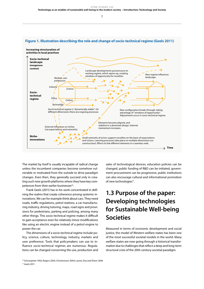#### <span id="page-8-0"></span>**Figure 1. Illustration describing the role and change of socio-technical regime (Geels 2011)**



The market by itself is usually incapable of radical change unless the incumbent companies become somehow vulnerable or motivated from the outside to drive paradigm changes. Even then, they generally succeed only in creating such new growth platforms where they have key competences from their earlier businesses<sup>10</sup>.

Frank Geels (2011) has in his work concentrated in defining the realms that create coherence among systemic innovations. We can for example think about cars. They need roads, traffic regulations, petrol stations, a car manufacturing industry, driving tutoring, maps, road signs and provisions for pedestrians, parking and policing, among many other things. This socio-technical regime makes it difficult to gain acceptance even for relatively minor modifications like using an electric engine instead of a petrol engine to power the car.

The dimensions of a socio-technical regime include policy, science, culture, technology, industry, markets and user preference. Tools that policymakers can use to influence socio-technical regimes are numerous. Regulations can be changed concerning the use, production and sales of technological devices, education policies can be changed, public funding of R&D can be initiated, government procurement can be progressive, public institutions can also encourage cultural and informational promotion of new technologies<sup>11</sup>.

# **1.3 Purpose of the paper: Developing technologies for Sustainable Well-being Societies**

Measured in terms of economic development and social justice, the model of Western welfare states has been one of the most successful societal models in the world. Many welfare states are now going through a historical transformation due to challenges that reflect a deep and long-term structural crisis of the 20th-century societal paradigm.

<sup>&</sup>lt;sup>10</sup> Schumpeter 1942; Rogers 2003; Christenssen 2004; Laurie, Doz and Sheer 2006 11 Geels 2011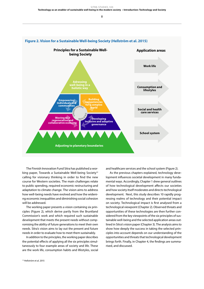

The Finnish Innovation Fund Sitra has published a working paper, Towards a Sustainable Well-being Society<sup>12</sup> calling for visionary thinking in order to find the new course for Western societies. The main challenges relate to public spending, required economic restructuring and adaptation to climate change. The vision aims to address how well-being needs have evolved and how the widening economic inequalities and diminishing social cohesion will be addressed.

The working paper presents a vision containing six principles (Figure 2), which derive partly from the Bruntland Commission's work and which required such sustainable development that meets the present needs without compromising the ability of future generations to meet their own needs. Sitra's vision aims to lay out the present and future needs in order to evaluate how to meet them sustainably.

In addition to the principles, the working paper describes the potential effects of applying all the six principles simultaneously to four example areas of society and life. These are the work life, consumption habits and lifestyles, social

12 Hellström et al. 2015

and healthcare services and the school system (Figure 2).

As the previous chapters explained, technology development influences societal development in many fundamental ways. Accordingly, Chapter 1 drew general outlines of how technological development affects our societies and how society itself moderates and directs technological development. Next, this study describes 10 rapidly progressing realms of technology and their potential impact on society. Technological impact is first analysed from a technological viewpoint (Chapter 2). Observed threats and opportunities of these technologies are then further considered from the key viewpoints of the six principles of sustainable well-being and the selected application areas outlined in Sitra's vision paper (Chapter 3). The analysis aims to show how deeply the success in taking the selected principles into account depends on our understanding of the opportunities and threats that technological development brings forth. Finally, in Chapter 4, the findings are summarised, and discussed.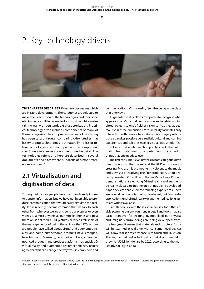# <span id="page-10-0"></span>2. Key technology drivers



**THIS CHAPTER DESCRIBES** 10 technology realms which are in rapid development. The categories are selected to make the description of the technologies and their societal impacts as little redundant as possible while maintaining easily understandable characterisation. Practical technology often includes components of many of these categories. The comprehensiveness of this listing has been tested through comparing other studies that list emerging technologies, but naturally no list of future technologies and their impacts can be comprehensive. Source references are not mentioned in detail. The technologies referred to here are described in several documents and sites where hundreds of further references are given<sup>13</sup>.

## **2.1 Virtualisation and digitisation of data**

Throughout history, people have used words and pictures to transfer information, but we have not been able to produce communication that would easily simulate the reality. It has recently become common that we talk to each other from wherever we are and send our pictures or even videos to almost anyone via our mobile phones and post them on social media. But pictures or videos fall short of the real experience of being there. Since the 1970s visionary people have talked about virtual and augmented reality and some cumbersome products have emerged. Now Microsoft, Samsung, Facebook and Google have announced products and product platforms that enable 3D virtual reality and augmented reality experience. Testers agree that this can change the way we use computers and

communications. Virtual reality feels like being in the place that one views.

Augmented reality allows computers to recognise what appears in one's natural field of vision and enables adding virtual objects to one's field of vision so that they appear realistic in three dimensions. Virtual reality facilitates easy interaction with remote tools like remote surgery robots, but also makes possible very realistic cultural and gaming experiences and telepresence. It also allows simpler features like virtual labels, direction pointers and other information from databases or computer heuristics added to things that one needs to use.

The first consumer-level devices in both categories have been brought to the market and the R&D efforts are increasing. Microsoft is promoting its Hololens to the media and seems to be readying itself for production. Google recently invested 500 million dollars in Magic Leap. Product demonstrations are enticing. Virtual reality and augmented reality glasses are not the only things being developed; haptic devices enable remote touching experiences. There are several technologies being developed, but few useful applications until virtual reality or augmented reality glasses are widely available.

Simultaneously with these virtual senses, tools that enable scanning our environment in detail and tools that are easier than ever for creating 3D models of our physical and imaginary surroundings are being developed. Within a few years it seems that materials and structural forms will be scanned in real time with consumer-level devices will allow realistic telepresence with touch and 3D vision. The augmented and virtual reality market is estimated to grow to 150 billion dollars by 2020, according to the market advisor Digi-Capital.

<sup>13</sup> The main sources used for this chapter are Linturi, Kuusi and Ahlqvist 2014; and Linturi and Kuittinen 2014. Additional sources are given as examples when they are considered useful extensions of the text to the reader.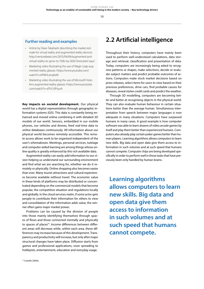### <span id="page-11-0"></span>**Further reading and examples**

- Article by Dean Takahashi describing the market estimate for virtual reality and augmented reality devices: [http://venturebeat.com/2015/04/06/augmented-and](http://venturebeat.com/2015/04/06/augmented-and-virtual-reality-to-grow-to-150b-by-2020-forecaster-says/)[virtual-reality-to-grow-to-150b-by-2020-forecaster-says/](http://venturebeat.com/2015/04/06/augmented-and-virtual-reality-to-grow-to-150b-by-2020-forecaster-says/)
- Marketing video illustrating the use of Magic Leap augmented reality glasses: [https://www.youtube.com/](https://www.youtube.com/watch?v=kPMHcanq0xM) [watch?v=kPMHcanq0xM](https://www.youtube.com/watch?v=kPMHcanq0xM)
- Marketing video illustrating the use of Microsoft Hololens augmented reality glasses: [https://www.youtube.](https://www.youtube.com/watch?v=aThCr0PsyuA) [com/watch?v=aThCr0Psyu](https://www.youtube.com/watch?v=aThCr0PsyuA)A

**Key impacts on societal development.** Our physical world has a digital representation through geographic information systems (GIS). This data is constantly being enhanced and moved online combining it with detailed 3D models of our world. Sensors, embedded in our mobile phones, our vehicles and drones, feed real-time data to online databases continuously. All information about our physical world becomes remotely accessible. This remote access allows work to be organised independent of the user's whereabouts. Meetings, personal services, tutelage and computer-aided learning are among things whose online quality is greatly enhanced by this rich available data.

Augmented reality can easily add information to our vision helping us understand our surrounding environment and find what we are searching for, whether we do it remotely or physically. Online shopping also becomes easier than ever. Many tourist attractions and cultural experiences become available without travel. The economic value in these kinds of platforms may be distributed or concentrated depending on the commercial models that become popular, the competitive situation and regulations locally and globally. In the cloud services realm, if some actor gets people to contribute their information for others to view and consolidation of the information adds value, the winner often gains major market power.

Problems can be caused by the division of people into those mainly identifying themselves through spaces of flows and those connected mentally and physically to spaces of places<sup>14</sup>. Income differences between different areas will decrease while, within each area, these differences may increase because of this development. Transparency and productivity will increase, but only after major structural changes have taken place. Diffusion starts from games and professional applications, soon spreading to hobbyists, entertainment, education and everyday usage.

Throughout their history, computers have mainly been used to perform well-understood calculations, data storage and retrieval, classification and presentation of data. Today, computers are increasingly being asked to recognise patterns or shapes, make selections, decide or evaluate subject matters and predict probable outcomes of actions. Computers make stock market decisions based on press releases, select items for users to view based on their previous preferences, drive cars, find probable causes for diseases, reveal stolen credit cards and predict the weather.

Through 3D modelling, computers are becoming better and better at recognising objects in the physical world. They can also evaluate human behaviour in certain situations better than the average human. Simultaneous interpretation from speech between major languages is now adequate in many situations. Computers have surpassed humans in many cases. A good example is how computer software was able to learn dozens of video arcade games by itself and play them better than experienced humans. Computers also already play certain poker games better than human players. Learning algorithms allows computers to learn new skills. Big data and open data give them access to information in such volumes and at such speed that humans cannot compete. Computer chips are being developed specifically in order to perform well in those tasks that have previously been only handled by human brains.

**Learning algorithms allows computers to learn new skills. Big data and open data give them access to information in such volumes and at such speed that humans cannot compete.**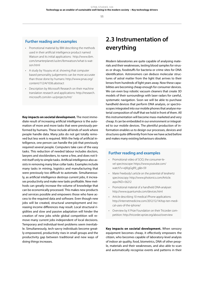### <span id="page-12-0"></span>**Further reading and examples**

- Promotional material by IBM describing the methods used in their artificial intelligence product named Watson and its initial applications: [http://www.ibm.](http://www.ibm.com/smarterplanet/us/en/ibmwatson/what-is-watson.html) [com/smarterplanet/us/en/ibmwatson/what-is-wat](http://www.ibm.com/smarterplanet/us/en/ibmwatson/what-is-watson.html)[son.html](http://www.ibm.com/smarterplanet/us/en/ibmwatson/what-is-watson.html)
- A study by Youyou et al. showing that computer based personality judgements can be more accurate than those done by humans: [http://www.pnas.org/](http://www.pnas.org/content/112/4/1036.abstract) [content/112/4/1036.abstract](http://www.pnas.org/content/112/4/1036.abstract)
- Description by Microsoft Research on their machine translation research and applications: [http://research.](http://research.microsoft.com/en-us/projects/mt/) [microsoft.com/en-us/projects/mt/](http://research.microsoft.com/en-us/projects/mt/)

**Key impacts on societal development.** The most immediate result of increasing artificial intelligence is the automation of more and more tasks that were previously performed by humans. These include all kinds of work where people handle data. Many jobs do not get totally removed but less work is required. With the help of artificial intelligence, one person can handle the job that previously required several people. Computers take care of the easy tasks. This reduction of needed labour includes doctors, lawyers and stockbrokers, to name a few, and does not limit itself only to simple tasks. Artificial intelligence also assists in removing many blue collar tasks. Examples include many tasks in mining, logistics and manufacturing that were previously too difficult to automate. Simultaneously, as artificial intelligence destroys current jobs, it increases productivity and make new tasks profitable. New methods can greatly increase the volume of knowledge that can be economically processed. This makes new products and services possible and empowers those who have access to the required data and software. Even though new jobs will be created, structural unemployment and increasing income differences may result. Local structural rigidities and slow and passive adaptation will hinder the creation of new jobs while global competition will remove many current jobs independent of local decisions. Temporary and individual-level problems seem inevitable. Simultaneously, tech-savvy individuals become greatly empowered, productivity rises in small groups and the productivity gap between traditional and new ways of doing things increases.

# **2.3 Instrumentation of everything**

Modern laboratories are quite capable of analysing materials and their weaknesses, testing blood samples for viruses or drugs, foodstuffs for bacteria or crime sites for DNA identification. Astronomers can deduce molecular structures of astral matter from the light that arrives to their lenses from hundreds of light years away. Now these capabilities are becoming cheap enough for consumer devices. We can even buy robotic vacuum cleaners that create 3D models of their surroundings with laser radars for careful, systematic navigation. Soon we will be able to purchase handheld devices that perform DNA analysis, or spectroscopes integrated into our mobile phones that analyse material composition of stuff that we hold in front of them. All this instrumentation will become mass-marketed and very cheap. It can be embedded in our environment or integrated to our mobile devices. The plentiful production of information enables us to design our processes, devices and structures quite differently from how we have acted before and makes many existing behaviours obsolete.

#### **Further reading and examples**

- Promotional video of SCIO, the consumer-level spectroscope: [https://www.youtube.com/](https://www.youtube.com/watch?v=ejl6gGgR9_g&t=59) [watch?v=ejl6gGgR9\\_g&t=59](https://www.youtube.com/watch?v=ejl6gGgR9_g&t=59)
- Marie Freebody's article on the potential of terahertz spectroscopy: [http://www.photonics.com/Article.](http://www.photonics.com/Article.aspx?AID=56212) [aspx?AID=56212](http://www.photonics.com/Article.aspx?AID=56212)
- Promotional material of a handheld DNA-analyser: http://www.quantumdx.com/devices.html
- Article describing 10 medical iPhone applications: [http://internetmedicine.com/2012/12/14/top-ten-medi](http://internetmedicine.com/2012/12/14/top-ten-medical-uses-of-the-iphone/)[cal-uses-of-the-iphone/](http://internetmedicine.com/2012/12/14/top-ten-medical-uses-of-the-iphone/)
- Overview by X Prize Foundation on their Tricorder competition[: http://tricorder.xprize.org/about/overview](http://tricorder.xprize.org/about/overview)

**Key impacts on societal development.** When sensory equipment becomes cheap, it effectively empowers the citizen, who becomes capable of laboratory-level analysis of indoor air quality, food, biometrics, DNA of other people, materials and their weaknesses, and also able to scan and automatically recognise events and patterns in their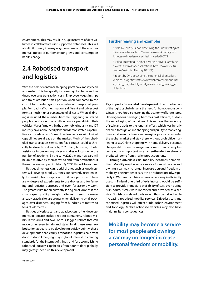<span id="page-13-0"></span>environment. This may result in huge increases of data volumes in collaborative user-supported databases. This will also limit privacy in many ways. Awareness of the environmental impact of our behaviour grows and consumption habits change.

# **2.4 Robotised transport and logistics**

With the help of container shipping, ports have mostly been automated. This has greatly increased global trade and reduced overseas transaction costs. Employee wages in ships and trains are but a small portion when compared to the cost of transported goods or number of transported people. For road traffic the situation is different and driver cost forms a much higher percentage of all costs. When all driving is included, the numbers become staggering. In Finland people spend around one billion hours a year driving their vehicles. Major firms within the automobile industry and ICT industry have announced plans and demonstrated capabilities for driverless cars. Some driverless vehicles with limited capabilities are already on the market. Much of the scheduled transportation service on fixed routes could technically be driverless already by 2020. First, however, robotic assistance in preventing driver mistakes will cut down the number of accidents. By the early 2020s, many new cars will be able to drive by themselves to and from destinations if the routes are mapped in detail. By 2030 this will be routine.

Besides driverless cars, aerial drones such as quadcopters will develop rapidly. Drones are currently used mainly for aerial photography and military purposes. There are widespread experiments to use drones also for farming and logistics purposes and even for assembly work. The greatest limitation currently facing small drones is the small capacity of lightweight batteries. It seems however already practical to use drones when delivering small packages over distances ranging from hundreds of metres to tens of kilometres.

Besides driverless cars and quadcopters, other developments in logistics include robotic containers, robotic manipulative arms and two- or four-legged robots that can move on uneven terrain and stairs. In all these areas, robotisation appears to be developing quickly. Jointly, these developments enable fully a robotised logistics chain from door to door. Emerging major global interest in creating standards for the internet of things, and for accomplishing robotised logistics capabilities from door to door globally, may greatly speed up this development.

### **Further reading and examples**

- Article by Felicity Capon describing the British testing of driverless vehicles: [http://www.newsweek.com/green](http://www.newsweek.com/green-light-tests-driverless-cars-britains-roads-306178)[light-tests-driverless-cars-britains-roads-306178](http://www.newsweek.com/green-light-tests-driverless-cars-britains-roads-306178)
- A video illustrating Lockheed Martin's driverless vehicle projects and military applications: [https://www.youtu](https://www.youtube.com/watch?v=NmwXy97CN8Q)[be.com/watch?v=NmwXy97CN8Q](https://www.youtube.com/watch?v=NmwXy97CN8Q)
- A report by DHL describing the potential of driverless vehicles in logistics: [http://www.dhl.com/en/about\\_us/](http://www.dhl.com/en/about_us/logistics_insights/dhl_trend_research/self_driving_vehicles.html) [logistics\\_insights/dhl\\_trend\\_research/self\\_driving\\_ve](http://www.dhl.com/en/about_us/logistics_insights/dhl_trend_research/self_driving_vehicles.html)[hicles.html](http://www.dhl.com/en/about_us/logistics_insights/dhl_trend_research/self_driving_vehicles.html)

**Key impacts on societal development.** The robotisation of the logistics chain lessens the need for homogenous containers, therefore also lessening the economy of large stores. Heterogeneous packaging becomes cost efficient, as does the repackaging of containers. This reduces the economy of scale and adds to the long tail effect, which was initially enabled through online shopping and pull-type marketing. Even small manufacturers and marginal products can enter the global market and stay there without prohibitive marketing costs. Online shopping with home delivery becomes cheaper still. Instead of megatrends, microtrends<sup>15</sup> may become equally important as a larger-than-before share of profits will come from smaller production runs.

Through driverless cars, mobility becomes democratised. Mobility may become a service for most people and owning a car may no longer increase personal freedom or mobility. The number of cars can be reduced greatly, especially in Western countries where cars are very inefficiently used. In Finland one third of existing cars would be sufficient to provide immediate availability of cars, even during rush hours, if cars were robotised and provided as a service. Finnish car-related costs would thus be halved while increasing robotised mobility services. Driverless cars and robotised logistics will affect trade, urban environment and topology. Mobile robotised vehicles may also have major military consequences.

**Mobility may become a service for most people and owning a car may no longer increase personal freedom or mobility.**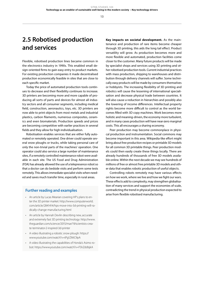# <span id="page-14-0"></span>**2.5 Robotised production and services**

Flexible, robotised production lines became common in the electronics industry in 1990s. This enabled small design-oriented firms to gain easy entry to product markets. For existing production companies it made decentralised production economically feasible in sites that are close to each specific market.

Today the price of automated production tools continues to decrease and their flexibility continues to increase. 3D printers are becoming more and more capable of producing all sorts of parts and devices for almost all industry sectors and all consumer segments, including medical field, construction, aeronautics, toys, etc. 3D printers are now able to print objects from most metals and industrial plastics, carbon filaments, numerous composites, ceramics and even biomaterials. Production speeds and prices are becoming competitive with earlier practices in several fields and they allow for high individualisation.

Robotisation enables services that are either fully automated or remotely operated. One driver could operate several snow ploughs or trucks, while taking personal care of only the non-trivial parts of the machines' operation. One operator could also service a large number of maintenance sites, if a remotely controlled maintenance robot were available in each site. The US Food and Drug Administration (FDA) has already allowed the use of a telepresence robot so that a doctor can do bedside visits and perform some tests remotely. This allows immediate specialist visits when needed and saves much transfer time, especially in rural areas.

#### **Further reading and examples**

- An article by Lucas Mearian covering HP's plans to enter the 3D printer market[: http://www.computerworld.](http://www.computerworld.com/article/2841414/hps-move-into-3d-printing-will-radically-change-manufacturing.html) [com/article/2841414/hps-move-into-3d-printing-will-ra](http://www.computerworld.com/article/2841414/hps-move-into-3d-printing-will-radically-change-manufacturing.html)[dically-change-manufacturing.html](http://www.computerworld.com/article/2841414/hps-move-into-3d-printing-will-radically-change-manufacturing.html)
- An article by Hannah Devlin describing new, accurate and extremely fast 3D printing technology: [http://www.](http://www.theguardian.com/science/2015/mar/19/scientists-create-terminator-2-inspired-3d-printer) [theguardian.com/science/2015/mar/19/scientists-crea](http://www.theguardian.com/science/2015/mar/19/scientists-create-terminator-2-inspired-3d-printer)[te-terminator-2-inspired-3d-printer](http://www.theguardian.com/science/2015/mar/19/scientists-create-terminator-2-inspired-3d-printer)
- A video illustrating a robotic snow plough: [https://](https://www.youtube.com/watch?v=tPg1ZMiC9pA) [www.youtube.com/watch?v=tPg1ZMiC9pA](https://www.youtube.com/watch?v=tPg1ZMiC9pA)
- A video illustrating the capabilities of Honda's Asimo robot:<https://www.youtube.com/watch?v=FShZddlsjkA>

**Key impacts on societal development.** As the maintenance and production of rare items become cheaper through 3D printing, this aids the long tail effect. Product versatility will grow. As production becomes more and more flexible and automated, production facilities come closer to the customer. Many future products will be made by specialist shops and services using 3D printing and other robotised production tools. Current industrial practices with mass production, shipping to warehouses and distribution through delivery channels will suffer. Some technically easy products will be made by consumers themselves or hobbyists. The increasing flexibility of 3D printing and robotics will cause the lessening of international specialisation and decrease physical trade between countries. It will also cause a reduction in hierarchies and possibly also the lowering of income differences. Intellectual property rights become more difficult to control as the world becomes filled with 3D copy machines. Work becomes more holistic and meaning-driven, the economy more turbulent, and in many cases production will have near-zero marginal costs. This all encourages a sharing economy.

Peer production may become commonplace in physical production and instrumentation. Social commons may become important in this area. Wikipedia-like effort might bring about free production recipes or printable 3D models for all common 3D printable things. Peer production models could then easily create these things locally. There are already hundreds of thousands of free 3D models available online. Within the next decade we may see hundreds of millions of free or almost free printable 3D models and other data that enables robotic production of useful objects.

Controlling robots remotely may have various effects on how we work, where we live and how we fight our wars. These effects add to complexity, may strengthen globalisation of many services and support the economies of scale, contradicting the trend in physical production expected to arise from flexible robotised manufacturing.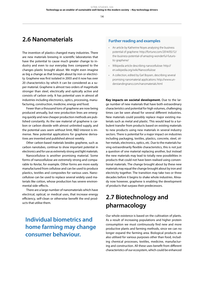### <span id="page-15-0"></span>**2.6 Nanomaterials**

The invention of plastics changed many industries. There are new materials brewing in scientific laboratories that have the potential to cause much greater change to industry and even to our everyday lives compared to the changes plastic brought about. We might even imagine as big a change as that brought about by iron or electricity. Graphene was first isolated in 2003 and it now has over 20 characteristics by which it can be considered as a super material. Graphene is almost two orders of magnitude stronger than steel, electrically and optically active and consists of carbon only. It has potential uses in almost all industries including electronics, optics, processing, manufacturing, construction, medicine, energy and food.

Fewer than a thousand tons of graphene are now being produced annually, but new production lines are emerging quickly and new cheaper production methods are published constantly. As the raw material of graphene is carbon or carbon dioxide with almost unlimited supply, and the potential uses seem without limit, R&D interest is immense. New potential applications for graphene derivatives are invented and published almost weekly.

Other carbon-based materials besides graphene, such as carbon nanotubes, continue to show important potential in electronics and for use as extremely strong and light materials.

Nanocellulose is another promising material. Some forms of nanocellulose are extremely strong and comparable to Kevlar, for example. Other forms are more easily manufactured from cellulose and can be used to produce plastics, textiles and composites for various uses. Nanocellulose can be used to replace several widely used materials like cotton, whose production has severe environmental side-effects.

There are a large number of nanomaterials which have electrical, optical, or medical uses, that increase energy efficiency, self-clean or otherwise benefit the end products that utilise them.

### **Individual biometrics and home farming may change consumer behaviour.**

### **Further reading and examples**

- An article by Katherine Noyes analysing the business potential of graphene[: http://fortune.com/2014/05/12/](http://fortune.com/2014/05/12/the-business-potential-of-amazing-wonderful-futuristic-graphene/) [the-business-potential-of-amazing-wonderful-futuris](http://fortune.com/2014/05/12/the-business-potential-of-amazing-wonderful-futuristic-graphene/)[tic-graphene/](http://fortune.com/2014/05/12/the-business-potential-of-amazing-wonderful-futuristic-graphene/)
- Wikipedia article describing nanocellulose: [http://](https://en.wikipedia.org/wiki/Nanocellulose) [en.wikipedia.org/wiki/Nanocellulose](https://en.wikipedia.org/wiki/Nanocellulose)
- A collection, edited by Earl Boysen, describing several promising nanomaterial applications[: http://www.un](http://www.understandingnano.com/nanomaterials.html)[derstandingnano.com/nanomaterials.html](http://www.understandingnano.com/nanomaterials.html)

**Key impacts on societal development.** Due to the large number of new materials that have both extraordinary characteristics and potential for high volumes, challenging times can be seen ahead for several different industries. New materials could possibly replace major existing materials such as metal and plastic. This would lead to a turbulent transfer from products based on existing materials to new products using new materials in several industry sectors. There is potential for a major impact on industries including packaging, textiles, plastics, concrete, steel, other metals, electronics, optics, etc. Due to the materials having extraordinarily flexible characteristics, this is not just a question of one material replacing another, but instead the new materials may lead to totally new possibilities in products that could not have been realised using conventional materials. The change brought about by these new materials may equal the change brought about by iron and electricity together. The transition may take two or three decades before it begins to shake whole industries. Already now however, graphene is enabling the development of products that surpass their predecessors.

# **2.7 Biotechnology and pharmacology**

Our whole existence is based on the cultivation of plants. As a result of increasing populations and higher protein consumption we must continuously find new and more productive plants and farming methods, since we can no longer expand the farming area. Biological products are also utilised for various purposes other than food, including chemical processes, textiles, medicine, manufacturing and construction. All these uses benefit from different characteristics of our ecosystem, which could be enhanced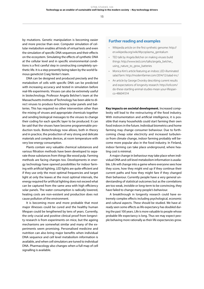by mutations. Genetic manipulation is becoming easier and more precise than ever. Computer simulation of cellular metabolism enables all kinds of virtual tests and even the simulation of specific DNA sequences and their effects on the ecosystem. Simulating the effects of synthetic DNA at the cellular level and in specific environmental conditions is a first careful step in constructing completely synthetic life. It is a step presently being taken by the world famous geneticist Craig Venter's team.

DNA can be designed and produced precisely and the metabolism of cells with specific DNA can be predicted with increasing accuracy and tested in simulation before real-life experiments. Viruses can also be extremely useful in biotechnology. Professor Angela Belcher's team at the Massachusetts Institute of Technology has been able to direct viruses to produce functioning solar panels and batteries. This has required no other intervention other than the mixing of viruses and appropriate chemicals together and sending biological messages to the viruses to change their coding for each specific layer to be produced. It can be said that the viruses have become programmable production tools. Biotechnology now allows, both in theory and in practice, the production of very strong and delicate materials and complex devices, at room temperature with very low energy consumption.

Plants contain very valuable chemical substances and various filtration methods have been developed to separate those substances from things like wood pulp. Farming methods are facing changes too. Developments in energy technology have opened possibilities for indoor farming with artificial lighting. LED lights are quite efficient and if they use only the most optimal frequencies and target light at only the leaves at the most optimal intervals, the energy required for artificial lighting does not exceed what can be captured from the same area with high efficiency solar panels. The water consumption is radically lowered, heating costs are non-existent and production does not cause pollution of the environment.

It is becoming more and more probable that most major illnesses could be cured and the healthy human lifespan could be lengthened by tens of years. Currently, the only crucial and positive clinical proof from longevity research is from experiments on mice, but the ageing mechanisms are somewhat similar and many of the experiments seem promising. Personalised medicine and nutrition can also bring major benefits when individual DNA sequence and cell level metabolism information is available, and when cell simulators are tuned to individual DNA. Pharmacology also changes when a full map of cell signalling is available.

#### **Further reading and examples**

- Wikipedia article on the first synthetic genome: [http://](https://en.wikipedia.org/wiki/Mycoplasma_genitalium) [en.wikipedia.org/wiki/Mycoplasma\\_genitalium](https://en.wikipedia.org/wiki/Mycoplasma_genitalium)
- TED talk by Angela Belcher on making viruses build things: [http://www.ted.com/talks/angela\\_belcher\\_](http://www.ted.com/talks/angela_belcher_using_nature_to_grow_batteries) [using\\_nature\\_to\\_grow\\_batteries](http://www.ted.com/talks/angela_belcher_using_nature_to_grow_batteries)
- Monica Kim's article featuring an indoor, LED-illuminated salad farm:<http://modernfarmer.com/2014/12/salad-inc/>
- An article by George Dvorsky describing current results and expectations of longevity research[: http://io9.com/](http://io9.com/do-these-startling-animal-studies-mean-your-lifespan-co-486041314) [do-these-startling-animal-studies-mean-your-lifespan](http://io9.com/do-these-startling-animal-studies-mean-your-lifespan-co-486041314)[co-486041314](http://io9.com/do-these-startling-animal-studies-mean-your-lifespan-co-486041314)

**Key impacts on societal development.** Increased complexity will lead to the restructuring of the food industry. With instrumentation and artificial intelligence, it is possible that many households could start farming their own food indoors in the future. Individual biometrics and home farming may change consumer behaviour. Due to forthcoming cheap solar electricity and increased turbulence from climate change, indoor farming probably will become more popular also in the food industry. In Finland, indoor farming can take place underground, where heating cost is minimal.

A major change in behaviour may take place when individual DNA and cell level metabolism information is available. Life will change into a game where everyone sees how they score, how they might end up if they continue their current paths and how they might fare if they changed their behaviour. Currently people have a very general understanding of statistical outcomes but as the correlations are too weak, invisible or long-term to be convincing, they have failed to change many people's behaviour.

A breakthrough in longevity research could have extremely complex effects including psychological, economic and cultural aspects. These should be studied. We have already seen some effects as life expectancy has doubled during the past 100 years. Life is more valuable to people whose probable life expectancy is long. Thus we may expect people behaving more rationally as their life expectancies grow.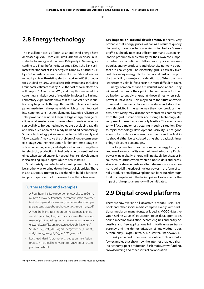### <span id="page-17-0"></span>**2.8 Energy technology**

The installation costs of both solar and wind energy have decreased quickly. From 2006 until 2014 the decrease in installed solar energy cost has been 16 % yearly in Germany, according to a Fraunhofer Institutes study. Deutsche Bank estimates that the cost of solar energy will drop by a further 40 % by 2020, or faster in many countries like the USA, and reaches network parity with existing electricity prices in 80 % of countries studied by 2017. Several research institutions, including Fraunhofer, estimate that by 2050 the cost of solar electricity will drop to 2-4 cents per kWh, and may thus undercut the current transmission cost of electricity in places like Finland. Laboratory experiments show that this radical price reduction may be possible through thin and flexible efficient solar panels made from cheap materials, which can be integrated into common construction elements. Extensive reliance on solar power and wind will require large energy storage facilities or alternate power sources when there is no wind or sun available. Storage technologies are developing rapidly and daily fluctuation can already be handled economically. Storage technology prices are expected to fall steadily and "flow batteries" may solve the problem of longer-term energy storage. Another new option for longer-term storage involves converting energy into hydrocarbons and using them for electricity production in fuel cells or in conventional engines when stored energy is needed. Fuel cell development is also making rapid progress due to new materials.

Small serially manufactured atomic power plants may be another way to bring down the cost of electricity. There is also a serious attempt by Lockheed to build a functioning prototype of a small fusion reactor within a few years.

#### **Further reading and examples**

- A Fraunhofer Institute report on photovoltaics in Germany: [http://www.ise.fraunhofer.de/en/publications/veroef](https://www.ise.fraunhofer.de/en/publications/veroeffentlichungen-pdf-dateien-en/studien-und-konzeptpapiere/recent-facts-about-photovoltaics-in-germany.pdf)[fentlichungen-pdf-dateien-en/studien-und-konzeptpa](https://www.ise.fraunhofer.de/en/publications/veroeffentlichungen-pdf-dateien-en/studien-und-konzeptpapiere/recent-facts-about-photovoltaics-in-germany.pdf)[piere/recent-facts-about-photovoltaics-in-germany.pdf](https://www.ise.fraunhofer.de/en/publications/veroeffentlichungen-pdf-dateien-en/studien-und-konzeptpapiere/recent-facts-about-photovoltaics-in-germany.pdf)
- A Fraunhofer Institute report on the German "Energiewende" providing long-term scenarios on the development of photovoltaic systems: [http://www.agora-ener](http://www.agora-energiewende.org/fileadmin/downloads/publikationen/Studien/PV_Cost_2050/AgoraEnergiewende_Current_and_Future_Cost_of_PV_Feb2015_web.pdf)[giewende.org/fileadmin/downloads/publikationen/](http://www.agora-energiewende.org/fileadmin/downloads/publikationen/Studien/PV_Cost_2050/AgoraEnergiewende_Current_and_Future_Cost_of_PV_Feb2015_web.pdf) [Studien/PV\\_Cost\\_2050/AgoraEnergiewende\\_Current\\_](http://www.agora-energiewende.org/fileadmin/downloads/publikationen/Studien/PV_Cost_2050/AgoraEnergiewende_Current_and_Future_Cost_of_PV_Feb2015_web.pdf) [and\\_Future\\_Cost\\_of\\_PV\\_Feb2015\\_web.pdf](http://www.agora-energiewende.org/fileadmin/downloads/publikationen/Studien/PV_Cost_2050/AgoraEnergiewende_Current_and_Future_Cost_of_PV_Feb2015_web.pdf)
- Lockheed Martin's promotional pages on their fusion project: [http://lockheedmartin.com/us/products/com](http://lockheedmartin.com/us/products/compact-fusion.html)[pact-fusion.html](http://lockheedmartin.com/us/products/compact-fusion.html)

**Key impacts on societal development.** It seems very probable that energy prices will fall as a result of quickly decreasing prices of solar power. According to Gaia Consulting<sup>16</sup> it is already now cost efficient for many users in Finland to produce solar electricity for their own consumption. When costs continue to fall and rooftop solar becomes popular, energy producers and electricity network operators are challenged. The electricity grid is basically fixed cost. For many energy plants the capital cost of the production facility is a major consideration too. When the market becomes volatile, fixed costs are more difficult to cover.

Energy companies face a turbulent road ahead. They will need to change their pricing to compensate for their obligation to supply energy at those times when solar power is unavailable. This may lead to the situation where more and more users decide to produce and store their own electricity, in the same way they now produce their own heat. Many may disconnect themselves completely from the grid if solar power and storage technology development makes it economically feasible. The energy sector will face a major restructuring in such a situation. Due to rapid technology development, visibility is not good enough for riskless long-term investments and profitability should either be calculated using short payback times or high discount percentages.

If solar power becomes the dominant energy form, Finland may lose much of its energy-intensive industry. If solar power wins globally, energy will inevitably be cheaper in southern countries where winter is not so dark and excessive energy storage costs or alternate energy sources are not required. If the price of nuclear power in the form of serially produced small power plants can be reduced enough for it to compete with the falling price of solar energy, the impact of cheap solar energy will be mitigated.

### **2.9 Digital crowd platforms**

There are now over one billion active Facebook users. Facebook and other social media compete evenly with traditional media on many fronts. Wikipedia, MOOC (Massive Open Online Courses) education, open data, open code, online machine translation, search engines and easily accessible and free applications bring forth unseen transparency and the democratisation of knowledge. Uber, Airbnb, eBay, Paypal, Bitcoin, Kickstarter, Shapeways, Linux, Wikipedia and other creative online tools are but a few examples that show how the internet enables a sharing economy, peer production, flash mobs, crowdfunding, crowdsourcing and other sorts of collaboration.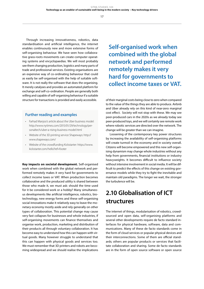<span id="page-18-0"></span>Through increasing innovativeness, robotics, data standardisation and artificial intelligence, the internet enables continuously new and more extensive forms of self-organising behaviour. We have seen how collaborative grass-roots movements can create computer operating systems and encyclopaedias. We will most probably see them changing production, logistics and many parts of trade and professional services. Existing organisations are an expensive way of co-ordinating behaviour that could as easily be self-organised with the help of suitable software. It is not really the software that does the organising. It merely catalyses and provides an automated platform for exchange and self-co-ordination. People are generally both willing and capable of self-organising behaviour if a suitable structure for transactions is provided and easily accessible.  $\qquad$  of their marginal costs being close to zero when compared

#### **Further reading and examples**

- Farhad Manjoo's article about the Uber business model: [http://www.nytimes.com/2015/01/29/technology/per](http://www.nytimes.com/2015/01/29/technology/personaltech/uber-a-rising-business-model.html?_r=0)[sonaltech/uber-a-rising-business-model.html](http://www.nytimes.com/2015/01/29/technology/personaltech/uber-a-rising-business-model.html?_r=0)
- Website of the 3D printing service Shapeways: [http://](http://www.shapeways.com/) [www.shapeways.com/](http://www.shapeways.com/)
- Website of the crowdfunding Kickstarter: [https://www.](https://www.kickstarter.com/hello?ref=footer) [kickstarter.com/hello?ref=footer](https://www.kickstarter.com/hello?ref=footer)

**Key impacts on societal development.** Self-organised work when combined with the global network and performed remotely makes it very hard for governments to collect income taxes or VAT. When production becomes collaborative and the produced utility is shared between those who made it, we must ask: should the time used for it be considered work or a hobby? Many simultaneous developments like artificial intelligence, robotics, biotechnology, new energy forms and these self-organising social innovations make it relatively easy to leave the monetary economy mostly aside and rely generally on other types of collaboration. This potential change may cause very fast collapses for businesses and whole industries, if self-organising movements can finance themselves and organise work, production, marketing and distribution of their products all through voluntary collaboration. It has become easy to understand how this can happen with virtual goods. Many however struggle to understand that this can happen with physical goods and services too. We must remember that 3D printers and robots are becoming widespread and we should realise the implications **Self-organised work when combined with the global network and performed remotely makes it very hard for governments to collect income taxes or VAT.**

to the value of the things they are able to produce. Airbnb and Uber already rely on this kind of near-zero marginal cost effect. Society will not stop with these. We may see peer-produced cars in the 2020s as we already today see peer-produced toys, and we will certainly see remote work where robotic services are directed over the network. The change will be greater than we can imagine.

Loosening of the contemporary key power structures by increasing the availability of self-organising platforms will create turmoil in the economy and in society overall. Citizens will become empowered and this new self-organising dynamism may change whole industries without any help from governments, financial institutions or industry heavyweights. It becomes difficult to influence society without intensive involvement in social media. It will be difficult to predict the effects of this change on existing governance models while they try to fight the inevitable and maintain old paradigms. The longer we wait, the stronger the turbulence will be.

# **2.10 Globalisation of ICT structures**

The internet of things, modularisation of robotics, crowdsourced and open data, self-organising platforms and several other developments require de facto standard interfaces for physical hardware, software, data and communications. Many of these de facto standards come in the form of cloud services or popular physical devices and their interconnections. Some of them are official standards; others are popular products or services that facilitate collaboration and sharing. Some de facto standards are in the form of open source software or open source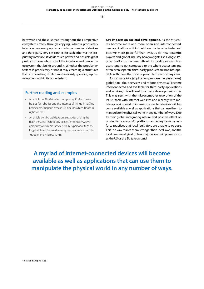hardware and these spread throughout their respective ecosystems freely through copying. When a proprietary interface becomes popular and a large number of devices and third-party services connect to each other via the proprietary interface, it yields much power and possible great profits to those who control the interface and hence the ecosystem that builds around it. Whether the popular interface is proprietary or not, it may create rigid structures that stop evolving while simultaneously speeding up development within its boundaries<sup>17</sup>.

#### **Further reading and examples**

- An article by Alasdair Allen comparing 36 electronics boards for robotics and the internet of things: http://makezine.com/magazine/make-36-boards/which-board-isright-for-me/
- An article by Michael deAgonia et al. describing the main personal technology ecosystems: [http://www.](http://www.computerworld.com/article/2483616/personal-technology/battle-of-the-media-ecosystems--amazon--apple--google-and-microsoft.html) [computerworld.com/article/2483616/personal-techno](http://www.computerworld.com/article/2483616/personal-technology/battle-of-the-media-ecosystems--amazon--apple--google-and-microsoft.html)[logy/battle-of-the-media-ecosystems--amazon--apple-](http://www.computerworld.com/article/2483616/personal-technology/battle-of-the-media-ecosystems--amazon--apple--google-and-microsoft.html) [-google-and-microsoft.html](http://www.computerworld.com/article/2483616/personal-technology/battle-of-the-media-ecosystems--amazon--apple--google-and-microsoft.html)

**Key impacts on societal development.** As the structures become more and more open and interconnected, new applications within their boundaries arise faster and become more powerful than ever, as do new powerful players and global industry heavyweights like Google. Popular platforms become difficult to modify or switch as users tend to get connected to the whole ecosystem and often even separate third-party products are not interoperable with more than one popular platform or ecosystem.

As software APIs (application programming interfaces), global data, cloud services and robotic devices all become interconnected and available for third-party applications and services, this will lead to a major development surge. This was seen with the microcomputer revolution of the 1980s, then with internet websites and recently with mobile apps. A myriad of internet-connected devices will become available as well as applications that can use them to manipulate the physical world in any number of ways. Due to their global integrating nature and positive effect on productivity, successful platforms and ecosystems can enforce practices that local legislators are unable to oppose. This in a way makes them stronger than local laws, and the local laws must yield unless major economic powers such as the US or the EU take a stand.

**A myriad of internet-connected devices will become available as well as applications that can use them to manipulate the physical world in any number of ways.**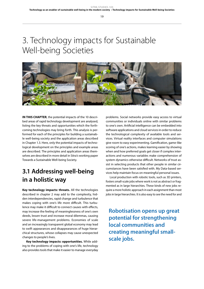# <span id="page-20-0"></span>3. Technology impacts for Sustainable Well-being Societies



**IN THIS CHAPTER**, the potential impacts of the 10 described areas of rapid technology development are analysed, listing the key threats and opportunities which the forthcoming technologies may bring forth. This analysis is performed for each of the principles for building a sustainable well-being society and the application areas described in Chapter 1.3. Here, only the potential impacts of technological development on the principles and example areas are described. The principles and application areas themselves are described in more detail in Sitra's working paper Towards a Sustainable Well-being Society.

# **3.1 Addressing well-being in a holistic way**

**Key technology impacts: threats.** All the technologies described in chapter 2 may add to the complexity, hidden interdependencies, rapid change and turbulence that makes coping with one's life more difficult. This turbulence may make it difficult to connect causes with effects, may increase the feeling of meaninglessness of one's own deeds, lessen trust and increase moral dilemmas, causing severe life-management problems. Economies of scale and an increasingly transparent global economy may lead to swift appearances and disappearances of huge hierarchical structures, whose collapses may cause unexpected changes to people's lives.

**Key technology impacts: opportunities.** While adding to the problems of coping with one's life, technology also provides tools that make it easier to manage everyday

problems. Social networks provide easy access to virtual communities or individuals online with similar problems to one's own. Artificial intelligence can be embedded into software applications and cloud services in order to reduce the technological complexity of available tools and services. Virtual reality interfaces and computer simulations give room to easy experimenting. Gamification, game-like scoring of one's actions, makes learning easier by showing when and how preferred goals get closer if complex interactions and numerous variables make comprehension of system dynamics otherwise difficult. Networks of trust assist in selecting products that other people in similar circumstances have been satisfied with. My Data-based services help maintain focus on meaningful personal issues.

Local production with robotic tools, such as 3D printers, fosters small-scale jobs where work is not as abstract or fragmented as in large hierarchies. These kinds of new jobs require a more holistic approach in each assignment than most jobs in large hierarchies. It is also easy to see the need for and

**Robotisation opens up great potential for strengthening local communities and creating meaningful smallscale jobs.**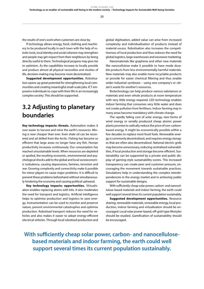<span id="page-21-0"></span>the results of one's work when customers are close by.

If technology allows energy, food, clothing and machinery to be produced locally in each town with the help of robotic tools, local identity and social cohesion may strengthen and people may get respect from their neighbours by being directly useful to them. Technological progress may give rise to optimism. As the capabilities increase to locally provide and produce almost all physical necessities and niceties of life, decision-making may become more decentralised.

**Suggested development opportunities.** Robotisation opens up great potential for strengthening local communities and creating meaningful small-scale jobs. ICT empowers individuals to cope with their life in an increasingly complex society. This should be supported.

# **3.2 Adjusting to planetary boundaries**

**Key technology impacts: threats.** Automation makes it ever easier to harvest and mine the earth's resources. Mining is now cheaper than ever. Even shale oil can be recovered and oil drilled from the Arctic. Fishing has become so efficient that large areas no longer have any fish. Human productivity increases continuously. Our consumption has reached unsustainable levels. When resources are depleted or spoiled, the resulting economic, environmental and psychological shocks add to the global and local socioeconomic turbulence, causing depressions, famines, terrorism and war. Growing complexity and connectivity make it possible for minor players to cause major problems. It is difficult to prevent these problems beforehand without simultaneously hindering the economy and causing political upheaval.

**Key technology impacts: opportunities.** Virtualisation enables replacing atoms with bits. It also moderates the need for transport and logistics. Artificial intelligence helps to optimise production and logistics to save energy. Instrumentation can be used to monitor and preserve nature, prevent environmental catastrophes and optimise production. Robotised transport reduces the need for vehicles and also makes it easier to adopt energy-efficient electrical vehicles. Through local robotised production and

global digitisation, added value can arise from increased complexity and individualisation of products instead of material excess. Robotisation also increases the competitiveness of local production and thus reduces the need for global logistics, large warehouses and excessive marketing.

Nanomaterials like graphene and other new materials like nanocellulose make it possible to have mode durable products from less environmentally harmful materials. New materials may also enable more recyclable products or provide for easier chemical filtering and thus enable wider industrial symbiosis – using one company's or citizen's waste for another's resources.

Biotechnology can help produce various substances or materials and even whole products at room temperature with very little energy required. LED technology enables indoor farming that consumes very little water and does not create pollution from fertilisers. Indoor farming may in many areas become mandatory with climate change.

The rapidly falling cost of solar energy, new forms of wind energy or serially produced cheap atomic power plants promise to radically reduce the price of non-carbonbased energy. It might be economically possible within a few decades to replace most fossil fuels. Renewable energy is commonly decentralised, and requires energy storages that are often also decentralised. National electric grids may become unnecessary, reducing centralised vulnerabilities, if local production and storage become efficient. Sustainability can be supported by a private and public display of gaming-style sustainability scores. This increased transparency can create peer and customer pressure, encouraging the movement towards sustainable practices. Simulations help in understanding the complex interdependencies in the energy market and in achieving public support for sustainable designs.

With sufficiently cheap solar power, carbon- and nanocellulose-based materials and indoor farming, the earth could well support several times its current population sustainably.

**Suggested development opportunities.** Resource sharing, renewable materials, renewable energy, local production, indoor farming and virtualisation should be encouraged. Local solar power-based, off-grid-type lifestyles should be studied. Gamification of sustainability should be encouraged.

**With sufficiently cheap solar power, carbon- and nanocellulosebased materials and indoor farming, the earth could well support several times its current population sustainably.**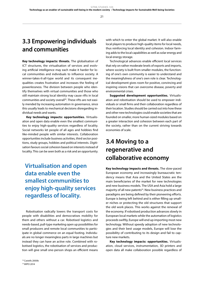## <span id="page-22-0"></span>**3.3 Empowering individuals and communities**

**Key technology impacts: threats.** The globalisation of ICT structures, the virtualisation of services and evolving artificial intelligence may each make it harder for local communities and individuals to influence society. A winner-takes-it-all-type world and its consequent inequalities creates frustration and increases the feeling of powerlessness. The division between people who identify themselves with virtual communities and those who still maintain strong local identity may cause rifts in local communities and society overall<sup>18</sup>. These rifts are not easily mended by increasing automation in governance, since this usually leads to mechanical decisions disregarding individual needs and wants.

**Key technology impacts: opportunities.** Virtualisation and open data enable even the smallest communities to enjoy high-quality services regardless of locality. Social networks let people of all ages and hobbies find like-minded people with similar interests. Collaboration opportunities include business activities, third sector positions, study groups, hobbies and political interests. Digitisation favours social cohesion based on interests instead of locality. This can be seen both as a risk and an opportunity.

### **Virtualisation and open data enable even the smallest communities to enjoy high-quality services regardless of locality.**

Robotisation radically lowers the transport costs for people with disabilities and democratises mobility for them and others without a car. Robotised logistics and needs-based, pull-type marketing open up possibilities for small producers and remote local communities to participate in global commerce on an equal footing. Individuals are no longer meaningless parts in large machines but instead they can have an active role. Combined with robotised logistics, the robotisation of services and production will give small one-person shops an efficient means

18 Castells 2000b

with which to enter the global market. It will also enable local players to produce high-quality items for local needs, thus reinforcing local identity and cohesion. Indoor farming adds to the local capabilities as well as solar energy and local energy storage.

Technological advances enable efficient local services that rely on rather moderate levels of exports and imports, where society is built from smaller modules, the functioning of one's own community is easier to understand and the meaningfulness of one's own role is clear. Technological development gives room for positive, convincing and inspiring visions that can overcome disease, poverty and environmental crises.

**Suggested development opportunities.** Virtualisation and robotisation should be used to empower individuals or small firms and their collaboration regardless of their location. Studies should be carried out into how these and other new technologies could enable societies that are founded on smaller, more human-sized modules based on a greater interaction and cohesion between each part of the society, rather than on the current striving towards economies of scale.

# **3.4 Moving to a regenerative and collaborative economy**

**Key technology impacts and threats.** The slow-paced European economy and increasingly bureaucratic tendency means that Asia and the United States are the main beneficiaries of the market for new technologies and new business models. The USA and Asia hold a large majority of all new patents<sup>19</sup>. New business practices and paradigms are being defined by their pioneering efforts. Europe is being left behind and is either filling up smaller niches or protecting the old structures that support the old work places. This works against the renewal of the economy. If robotised production advances slowly in European local markets while the automation of logistics proceeds swiftly, Europe will end up importing most new technology. Without speedy adoption of new technologies and their best usage models, Europe will lose the possibility of contributing to its design and fail to capture new markets.

**Key technology impacts: opportunities.** Virtualisation, cloud services, instrumentation, 3D printers and open data all make collaboration possible regardless of

19 WIPO 2014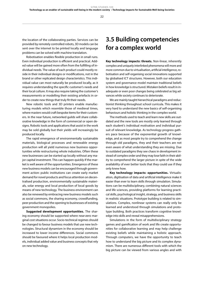<span id="page-23-0"></span>the location of the collaborating parties. Services can be provided by remotely controlled robots, 3D models can be sent over the internet to be printed locally and language problems can be solved with machine translation.

Robotisation enables flexible production in small runs. Even individual production is efficient and practical. Added value will be gained more often from the fulfilling of individual needs. The value of each product could mostly reside in their individual designs or modifications, not in the brand or other replicated design characteristics. This individual value can most naturally be produced locally, as it requires understanding the specific customer's needs and their local culture. It may also require taking the customer's measurements or modelling their existing artefacts in order to create new things that truly fit their needs.

New robotic tools and 3D printers enable manufacturing models which resemble those of medieval times, where masters would craft bespoke items for their customers. In the near future, networked guilds will share collaborative knowledge in the form of commercial or open designs. Robotic tools and applications that assist in the work may be sold globally but their yields will increasingly be produced locally.

The rapid emergence of environmentally sustainable materials, biological processes and renewable energy production will all yield numerous new business opportunities while restructuring whole industries. Often these new businesses can be started up locally without any major capital investment. This can happen quickly if the market is well aware of the opportunities. Emergence of these new business models can be encouraged through government action: public institutions can create early market demand for novel products and focus attention on decentralised production, environmentally sustainable materials, solar energy and local production of local goods by means of new technology. The business environment can also be renewed by embracing new business models such as social commons, the sharing economy, crowdfunding, peer production and the opening to businesses of existing government monopolies.

**Suggested development opportunities.** The sharing economy should be supported where near-zero marginal cost situations occur. Socio-technical regimes should be changed to favour business models that use new technologies. Structural dynamism in the economy should be increased to lower income differences. Social commons should be favoured where it helps local production models, individual added value and business concepts that rely on new technology.

# **3.5 Building competencies for a complex world**

**Key technology impacts: threats.** Non-linear, inherently complex and uniquely interlinked phenomena will more and more common due to virtualisation, artificial intelligence, robotisation and self-organising social innovations supported by globalised ICT structures. However, both our education system and governance model maintain traditional beliefs in how knowledge is structured. Mistaken beliefs result in inadequate or even poor changes being celebrated as big advances while society continues to deteriorate.

We are mainly taught hierarchical paradigms and reductionist thinking throughout school curricula. This makes it very hard to understand the new basics of self-organising behaviours and holistic thinking in the complex world.

The methods used to teach and learn new skills are outdated and the new tools are mostly only learned through each student's individual motivation and individual pursuit of relevant knowledge. As technology progress gathers pace because of the exponential growth of knowledge, and as most people try to comprehend the change through old paradigms, they and their teachers are not even aware of what understanding they are missing. Due to outdated paradigms they see chaos in development instead of complex order and they may lose faith in their ability to comprehend the larger picture in spite of the wide availability of ever better tools that they could use if they only knew how.

**Key technology impacts: opportunities.** Virtualisation, digitisation of data and artificial intelligence make it easier than ever to learn skills through simulation. Simulations can be multidisciplinary, combining natural sciences and life sciences, providing platforms for learning practical skills, psychological insight, strategy, and business skills in realistic situations. Prototype building is related to simulations. Complex, nonlinear systems can really only be learned and understood through simulations and prototype building. Both practices transform cognitive knowledge into skills and reveal misapprehensions.

Simulations in the form of multidisciplinary strategy games and gamification of work and life create opportunities for collaborative learning and may help challenge existing beliefs while maintaining a holistic approach. Through computers, we have the opportunity to teach how to understand the big picture and its complex dynamism. There are numerous different tools with which the big picture can be viewed from various angles and with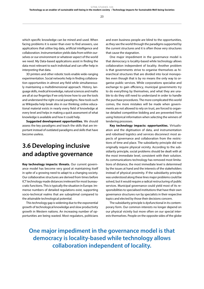<span id="page-24-0"></span>which specific knowledge can be mined and used. When facing problems it is easier than ever to find answers, use applications that utilise big data, artificial intelligence and collaboration. Instrumentation yields data from within ourselves or our environment or whatever aspect of the world we need. My Data-based applications assist in finding the data most relevant to each individual and can offer help in interpreting that data.

3D printers and other robotic tools enable wide-ranging experimentation. Social networks help in finding collaboration opportunities in almost any field while simultaneously maintaining a multidimensional approach. History, language skills, medical knowledge, natural sciences and maths are all at our fingertips if we only know how to use the tools and understand the right crucial paradigms. New tools such as Wikipedia help break silos in our thinking; online educational material exists in nearly every field of knowledge at every level and helps in making a quick assessment of what knowledge is available and how it could help.

**Suggested development opportunities.** We should assess the key paradigms and teach the skills that are important instead of outdated paradigms and skills that have become useless.

## **3.6 Developing inclusive and adaptive governance**

**Key technology impacts: threats.** Our current governance model has become very good at maintaining itself in spite of a growing need to adapt to a changing society. Our collaborative structures are derived from times before ICT technology made distances irrelevant for most bureaucratic functions. This is typically the situation in Europe. Immense numbers of detailed regulations exist, supporting socio-technical realms that are suboptimal compared to the attainable technological potential.

This technology gap is widening due to the exponential growth of technological knowledge and slow productivity growth in Western nations. An increasing number of opportunities are being wasted. Most regulators, politicians and even business people are blind to the opportunities, as they see the world through the paradigms supported by the current structures and it is often those very structures that cause the stagnation.

One major impediment in the governance model is that democracy is locality-based while technology allows collaboration independent of locality. Another problem is that governments strive to organise themselves as hierarchical structures that are divided into local monopolies even though that is by no means the only way to organise public services. While corporations specialise and exchange to gain efficiency, municipal governments try to do everything by themselves, and what they are unable to do they still need to understand in order to handle the purchase procedures. The more complicated this world comes, the more mistakes will be made when governments are not allowed to rely on trust, are forced to organise detailed competitive bidding and are prevented from using historical information when selecting the winners of tendering processes.

**Key technology impacts: opportunities.** Virtualisation and the digitisation of data, and instrumentation and robotised logistics and services disconnect most aspects of governance and collaboration from the restrictions of time and place. The subsidiarity principle did not originally require physical vicinity. According to the subsidiarity principle, social problems should be dealt with at the most immediate level, consistent with their solution. As communications technology has removed most limitations of distance, the most immediate level is determined by the issues at hand and the interests of the stakeholders instead of physical proximity. If the subsidiarity principle was understood along these lines major problems could be solved, but it would require a radical restructuring of public services. Municipal governance could yield most of its responsibilities to specialised institutions that have their own governance structures run by specialists in their respective topics and elected by those their decisions concern.

The subsidiarity principle is dysfunctional in its contemporary form. Our common interests no longer depend on our physical vicinity but more often on our special interests themselves. People on the opposite sides of the globe

**One major impediment in the governance model is that democracy is locality-based while technology allows collaboration independent of locality.**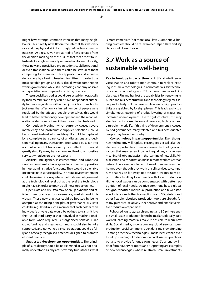<span id="page-25-0"></span>might have stronger common interests that many neighbours. This is really new. Before the internet this was very rare and the physical vicinity strongly defined our common interests. As a result, we have started to feel alienated from the decision-making on those issues that mean most to us. Instead of a single monopoly organisation for each locality, these new and specialised organisations could be national or even transnational and there could be several of them competing for members. This approach would increase democracy by allowing freedom for citizens to select the most suitable groups and thus also allow for competition within governance while still increasing economy of scale and specialisation compared to existing practices.

These specialised bodies could be elected democratically by their members and they could have independent authority to create regulations within their jurisdiction. If such subject areas that affect only a limited number of people were regulated by the affected people themselves, this would lead to better evolutionary development and the reconsideration of decisions or ideas if they prove to be ill-advised.

Competitive bidding, which currently causes severe inefficiency and problematic supplier selections, could be optional instead of mandatory. It could be replaced by a complete transparency of all discussions and decision-making on any transaction. Trust would be taken into account when full transparency is in effect. This would greatly simplify many transactions and lead to responsible services when buyers are not experts.

Artificial intelligence, instrumentation and robotised services could make huge gains in productivity possible in most administrative functions. They would also enable greater gains in service quality. The regulative environment could be revised in a way where methods are not governed at the technological level but at the level the technology might have, in order to open up all these opportunities.

Open Data and My Data may open up dynamic and efficient new practices for governance, markets and individuals. These new practices could be boosted by being accepted as the ruling principles of governance. My Data could be regulated in such a manner that each holder of an individual's private data would be obliged to transmit it to the trusted third party of that individual in machine-readable form when required. Self-organised behaviour like crowdfunding and creative commons could also be fully supported, and networked virtual operations could be fully and officially recognised practices designed to promote efficient practices.

**Suggested development opportunities.** The principle of subsidiarity should be re-examined. It was not originally understood as physical proximity but rather as what is more immediate (not more local) level. Competitive bidding practices should be re-examined. Open Data and My Data should be embraced.

## **3.7 Work as a source of sustainable well-being**

**Key technology impacts: threats.** Artificial intelligence, virtualisation and robotisation continue to replace existing jobs. New technologies in nanomaterials, biotechnology, energy technology and ICT continue to replace old industries. If Finland has lost the capabilities for renewing its public and business structures and technology regimes, local productivity will decrease while areas of high productivity are grabbed by foreign players. This leads easily to a simultaneous lowering of profits, lowering of wages and increased unemployment. Due to rigid structures, this may also lead to increased income differences, high taxes and a turbulent work life. If this kind of development is caused by bad governance, many talented and business-oriented people may leave the country.

**Key technology impacts: opportunities.** Even though new technology will replace existing jobs, it will also create new opportunities. There are several technological advances that may lessen income inequalities, enable new meaningful jobs and assist in the learning of new skills. Virtualisation and robotisation make remote work easier than before. Therefore people do not need to move from their homes even though they work or sell services to companies that reside far away. Robotisation creates new opportunities fulfilling local needs with local production. Higher local wages can be compensated with better recognition of local needs, creative commons-based global designs, robotised individual production and fewer storage, logistics and other transaction costs. 3D printers and other flexible robotised production tools are already, for many purposes, relatively inexpensive and enable versatile production capabilities.

Robotised logistics, search engines and 3D printers enable small-scale production for niche markets globally. Networked learning materials make it possible to learn new skills. Social media, crowdsourcing, cloud services, peer production, social commons, open data and crowdfunding – among other new technologies – make it easier than ever to set up meaningful collaboration and business practices, but also to provide for one's own needs. Solar energy, indoor farming, service robots and 3D printing are examples of new technologies where relatively small investments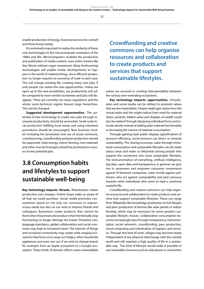<span id="page-26-0"></span>enable production of energy, food and services for oneself and those living nearby.

It is extremely important to realise the similarity of these new technologies to the microcomputer revolution of the 1980s and 90s. Microcomputers enabled the production and publication of media content, even entire movies like Star Wreck without major investment. Many forthcoming technologies will enable similar developments to happen in the world of material things, since efficient production no longer requires an economy of scale in each case. This will change working life, creating many new jobs, if only people can realise the new opportunities. Unless we open up to the new possibilities, our productivity will suffer compared to more nimble economies and jobs will disappear. There are currently too many regulations and the whole socio-technical regime favours large hierarchies. This can be changed.

**Suggested development opportunities.** The potential of new technology to create new jobs through increased productivity should be promoted. Small-scale local production fulfilling local needs and using robotised procedures should be encouraged. New business models including the promotion and use of social commons, crowdsourcing, crowdfunding and peer production should be supported. Solar energy, indoor farming, new materials and other new technologies should be promoted as sources of new potential jobs.

# **3.8 Consumption habits and lifestyles to support sustainable well-being**

**Key technology impacts: threats.** Robotisation makes production ever cheaper. Online shops make us aware of all that we could purchase. Social media promotes consumerism based on not only our conscious or subconscious needs but also on our wish to impress friends and colleagues. Businesses create products that cannot be fixed when they break and products that intentionally stop functioning no longer damage the brand. Driverless cars, language translators, global collaboration and social commons may lead to increased travel. The internet of things and increased connectivity may create wide-ranging ecosystems that force us to swap our fridges, other household appliances and even our cars if we wish to change brand; for example, from an Apple ecosystem to a Google ecosystem. These kinds of domino effects seem unavoidable

**Crowdfunding and creative commons can help organise resources and collaboration to create products and services that support sustainable lifestyles.**

unless we succeed in creating interoperability between the various ever-extending ecosystems.

**Key technology impacts: opportunities.** Virtualisation and social media can be utilised to promote values that are less materialistic. People might gain status from the virtual realm and this might reduce their need for material status symbols. Added value and displays of wealth could also be realised through designing individual forms and intricate details instead of adding plain material functionality or increasing the volume of material consumption.

Through gaming-style public displays (gamification) of resource efficiency, social pressure can direct us towards sustainability. The sharing economy, value through immaterial consumption and sustainable lifestyles can all create status value and make us influential among people who support the movement into more sustainable lifestyles. The instrumentation of everything, artificial intelligence, big data, open data and transparency in general can give rise to awareness and empower consumer movements against ill-behaved companies, voter revolts against politicians who act against sustainability and peer pressure towards other individuals who seem to lead a carelessly wasteful life.

Crowdfunding and creative commons can help organise resources and collaboration to create products and services that support sustainable lifestyles. These can range from Wikipedia-like knowledge production to full designs and peer production of devices like solar panels or indoor farming, which may be necessary for some people's sustainable lifestyle choices. Collaborative consumption becomes increasingly easy through transparency, instrumentation, social networks, crowdfunding, peer production, cloud computing and robotisation of logistics and services. Through this kind of work, villages may become nearly independent of any physical interchange with the outside world and still maintain a high quality of life in a sustainable way. This kind of lifestyle would make it possible to use renewable resources such as solar power or wind when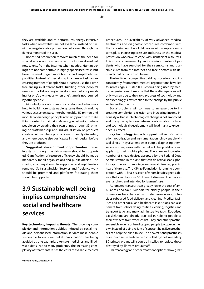<span id="page-27-0"></span>they are available and to perform less energy-intensive tasks when renewables are not available, instead of running energy-intensive production tasks even through the darkest months of the year.

Robotised production removes much of the need for specialisation and exchange as robots can download new talents from the internet when needed. Human beings are not competitive in highly specialised tasks but have the need to gain more holistic and empathetic capabilities. Instead of specialising in a narrow task, an increasing number of people should learn to use their time freelancing in different tasks, fulfilling other people's needs and collaborating in development tasks or providing for one's own needs when one's time is not required by other people.

Modularity, social commons, and standardisation may help to build more sustainable systems through making various ecosystem parts interchangeable. 3D printers and modular open design principles certainly promise to make things easier to maintain. Maker-type behaviour where people enjoy creating their own things through 3D printing or craftsmanship and individualisation of products create a culture where products are not easily discarded, and where people also participate in their design before they are produced.

**Suggested development opportunities.** Gaining status through the virtual realm should be supported. Gamification of resource efficiency should be made mandatory for all organisations and public officials. The sharing economy should be supported and legal barriers removed. Self-sustainable lifestyles and freelance work should be promoted and platforms facilitating them should be supported.

# **3.9 Sustainable well-being implies comprehensive social and healthcare services**

**Key technology impacts: threats.** The growing complexity and information bubbles induced by social media and personalised information services make people vulnerable to irrational beliefs. Vaccinations are being avoided as one example; alternate medicines and ill-advised diets lead to many problems. The increasing complexity of treatments raises the costs of available medical

procedures. The availability of very advanced medical treatments and diagnostic procedures combined with the increasing number of old people with complex symptoms place increasing pressure and stress on the medical profession who have to cope with insufficient resources. This stress is worsened by an increasing number of patients who have searched for their symptoms and possible cures from the internet and face doctors with demands that can often not be met.

The inefficient competitive bidding procedures and inconsistently fragmented medical organisations have led to increasingly ill-suited ICT systems being used by medical organisations. It may be that these discrepancies will only worsen due to the rapid progress of technology and an exceedingly slow reaction to the change by the public sector and legislature.

Social problems will continue to increase due to increasing complexity; exclusion and increasing income inequality will arise if technological change is not embraced; and the growing tension between out-of-date structures and technological development will lead many to experience ill-effects.

**Key technology impacts: opportunities.** Virtualisation, robotisation and instrumentation jointly enable virtual clinics. They also empower people diagnosing themselves in many cases with the help of cheap add-ons and applets to their mobile phones. There are an increasing number of cheap devices accepted by the Federal Drug Administration in the USA that can do retinal scans, photograph the ear drum, diagnose several diseases, predict heart failure, etc. The X Prize Foundation is running a competition with 10 finalists, each of whom has designed a device that can diagnose 16 different diseases. The devices are handheld and intended for layman's use.

Automated transport can greatly lower the cost of ambulances and taxis. Support for elderly people in their homes can be enhanced with telepresence robots besides robotised food delivery and cleaning. Medical facilities and other social and healthcare institutions can also benefit from robots doing routine cleaning, logistics and transport tasks and many administrative tasks. Robotised exoskeletons are already practical in helping people to their own feet from wheelchairs. They and other prostheses enable elderly or handicapped people to cope on their own instead of being reliant of constant help. Eye prostheses can help the blind to see. The newest hand prostheses have touch sense and can be controlled by the brain. Many 3D printed organs will soon be installed to replace those destroyed by illnesses or trauma<sup>20</sup>.

Pharmacology and other treatment options show great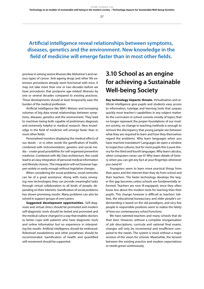### <span id="page-28-0"></span>**Artificial intelligence reveal relationships between symptoms, diseases, genetics and the environment. New knowledge in the field of medicine will emerge faster than in most other fields.**

promise in solving severe illnesses like Alzheimer's and various types of cancer. Anti-ageing drugs and other life extension procedures already seem functional with mice. It may not take more than one or two decades before we have procedures that postpone age-related illnesses by one or several decades compared to existing practices. These developments should at least temporarily ease the burden of the medical profession.

Artificial intelligence like IBM's Watson and increasing volumes of big data reveal relationships between symptoms, diseases, genetics and the environment. They lead to machines being both capable of preliminary diagnosis and extremely helpful in medical research. New knowledge in the field of medicine will emerge faster than in most other fields.

Personalised monitors displaying the medical effects of our deeds – or in other words the gamification of health, combined with instrumentation, genetics and social media – create good possibilities for self-organised preventive medicine. Combined with My Data architecture, this could lead to an easy integration of personal medical information and lifestyle choices. This integration will not however happen widely or easily enough without legislative changes.

When considering the social problems, social networks can be of a great assistance. Along with many emerging new technologies they can provide meaningful tasks through virtual collaboration to all kinds of people, depending on their interests. Gamification of social problems has shown promising results. Many problems can also be solved in support groups of one's peers.

**Suggested development opportunities.** Self-diagnosis and virtual clinics should be promoted and modern self-diagnostic tools should be tested and promoted and the medical culture changed in a way that enables doctors to better cope with patients who have diagnostic tools and online information but no experience in interpreting the results. Artificial intelligence should be embraced. Robotised exoskeletons and other prostheses should be recommended. Gamification of health and quantified self-movement should be supported.

# **3.10 School as an engine for achieving a Sustainable Well-being Society**

**Key technology impacts: threats.** Virtualisation and artificial intelligence give pupils and students easy access to information, tutelage and learning tools that surpass quickly most teacher's capabilities in any subject matter. As the curriculum in school consists mostly of topics that no longer represent the proper foundations of our modern society, no change in teaching methods is enough to remove the discrepancy that young people see between what they are required to learn and how they themselves regard the problems. Why learn languages when you have machine translation? Languages do open a window to respective cultures, but for most pupils this is pure theory for the third and fourth languages. Why learn calculus, when computers never use it? Why learn details of history when you can get any fact at your fingertips whenever you need it?

Youngsters seem to learn more practical things from their peers and the internet than they do from school and their teachers. The faster technology develops the larger this gap becomes unless schools are fundamentally reformed. Teachers are now ill-equipped, since they often know less about the modern tools for learning than their pupils. This change however is difficult as teachers' lobbies, the educational bureaucracy and older people's understanding is based on the old paradigms, and very few people in responsible positions seem to realise the falsity of how our contemporary school functions.

We have talented teachers and many schools that do their best. However, without a complete reorganisation of job descriptions, curricula and national final exams, changes will only be incremental and insufficient compared to the needs. The system is stuck without a major revision of the vision for schools. Meanwhile, the tension between the existing practice and modern expectations or needs grows continuously.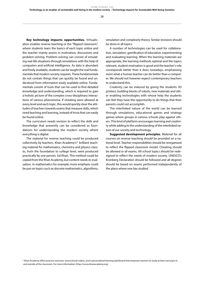**Key technology impacts: opportunities.** Virtualisation enables reverse teaching or the "flipped classroom", where students learn the basics of each topic online and the teacher mainly assists in motivation, discussions and problem-solving. Problem-solving can consist of emulating real-life situations through simulations with the help of computers and artificial intelligence. As data is abundant and freely available, students can be taught the real fundamentals that modern society requires. These fundamentals do not contain things that can quickly be found and understood from information easily available online. Fundamentals consist of tools that can be used to find detailed knowledge and understanding, which is required to gain a holistic picture of the complex cross-disciplinary interactions of various phenomena. If cheating were allowed at every level and each topic, this would quickly steer the attitudes of teachers towards exams that measure skills, which need teaching and learning, instead of trivia that can easily be found online.

The curriculum needs revision to reflect the skills and knowledge that presently can be considered as foundations for understanding the modern society where everything is digital.

The material for reverse teaching could be produced collectively by teachers. Khan Academy's<sup>21</sup> brilliant teaching material for mathematics, chemistry and physics classes, from the foundation to college level, were produced practically by one person, Sal Khan. This method could be copied from the Khan Academy, but content needs re-evaluation. In mathematics for example, more emphasis could be put on topics such as discrete mathematics, algorithms,

simulation and complexity theory. Similar revisions should be done in all topics.

A number of technologies can be used for collaboration, simulation, gamification of education, experimenting and evaluating learning. When the learning materials are appropriate, the learning methods optimal and the topics relevant, student motivation is good and the teacher's role corresponds better than it does nowadays, emphasising more what a human teacher can do better than a computer. We should not however expect contemporary teachers to understand this.

Creativity can be induced by giving the students 3D printers, building blocks of robots, new materials and other enabling technologies with whose help the students can feel they have the opportunity to do things that their parents could not accomplish.

The interlinked nature of the world can be learned through simulations, educational games and strategy games where groups in various schools play against others. This kind of platform encourages learning and creativity while adding to the understanding of the interlinked nature of our society and technology.

**Suggested development principles.** Material for all courses on reverse teaching should be provided on a national level. Teacher responsibilities should be reorganised to reflect the flipped classroom model. Cheating should be allowed in all exams. All school topics should be redesigned to reflect the needs of modern society. UNESCO's Kronberg Declaration should be followed and all degrees should be based on exams performed independently of the place where one has studied.

<sup>21</sup> Khan Academy offers practice exercises, instructional videos, and a personalised learning dashboard that empower learners to study at their own pace in and outside of the classroom. For more information: <https://www.khanacademy.org/>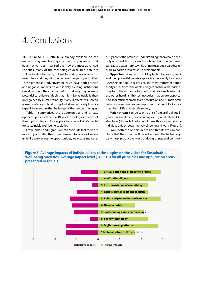# <span id="page-30-0"></span>4. Conclusions

**THE NEWEST TECHNOLOGY** already available on the market today enables major productivity increases that have not yet been realised even by the most advanced societies. Many of the technologies described here are still under development, but will be widely available in the near future and they will open up even larger opportunities. These potential productivity increases have both positive and negative impacts on our society. Existing institutions can slow down the change, but in so doing they increase potential turbulence. Much that might be valuable is then only gained by a small minority. Many ill-effects will spread across borders and by slowing itself down a society loses its capability to endure the challenges of the new technologies.

Table 1 summarises the opportunities and threats opened up by each of the 10 key technologies to each of the six principles and four application areas of Sitra's model for sustainable well-being societies.

From Table 1 and Figure 3 we can conclude that there are more opportunities than threats in each topic area. However, while embracing the opportunities, we must simultaneously accept the ominous understanding that a chain needs only one weak link to break the whole chain. Single threats can cause a catastrophe, while bringing about a paradise requires a horde of successful developments.

**Opportunities** arise from all key technologies (Figure 3) and their potential benefits spread rather evenly to all analysed sectors (Figure 4). Possibly the most important opportunity arises from renewable energies and new materials as they form the economic basis of sustainable well-being. On the other hand, all the technologies that create opportunities for efficient small-scale production and human-scale cohesive communities are important building blocks for a meaningful life and stabile society.

**Major threats** can be seen to arise from artificial intelligence, nanomaterials, biotechnology and globalisation of ICT structures (Figure 3). The target of these threats is usually the individual, his empowerment, well-being and work (Figure 4).

From both the opportunities and threats we can conclude that the spread will grow between the technologically most productive ways of doing things and common



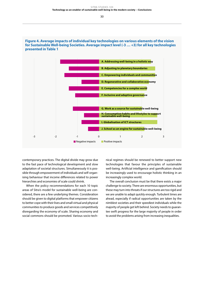



contemporary practices. The digital divide may grow due to the fast pace of technological development and slow adaptation of societal structures. Simultaneously it is possible through empowerment of individuals and self-organising behaviour that income differences related to power hierarchies and economies of scale could shrink.

When the policy recommendations for each 10 topic areas of Sitra's model for sustainable well-being are considered, there are a few underlying themes. Consideration should be given to digital platforms that empower citizens to better cope with their lives and small virtual and physical communities to produce goods and services competitively disregarding the economy of scale. Sharing economy and social commons should be promoted. Various socio-technical regimes should be renewed to better support new technologies that favour the principles of sustainable well-being. Artificial intelligence and gamification should be increasingly used to encourage holistic thinking in an increasingly complex world.

The overall conclusion must be that there exists a major challenge to society. There are enormous opportunities, but these may turn into threats if our structures are too rigid and we are unable to adapt quickly enough. Turbulent times are ahead, especially if radical opportunities are taken by the nimblest societies and their speediest individuals while the majority of people get left behind. Society needs to guarantee swift progress for the large majority of people in order to avoid the problems arising from increasing inequalities.

30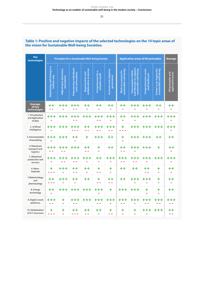### **Table 1: Positive and negative impacts of the selected technologies on the 10 topic areas of the vision for Sustainable Well-being Societies.**

| <b>Key</b><br>technologies                       | <b>Principles for a Sustainable Well-being Society</b> |                                      |                                           |                                           |                                     | <b>Application areas of the principles</b> |                                                |                                                                           |                                        | <b>Average</b>                                    |                                         |
|--------------------------------------------------|--------------------------------------------------------|--------------------------------------|-------------------------------------------|-------------------------------------------|-------------------------------------|--------------------------------------------|------------------------------------------------|---------------------------------------------------------------------------|----------------------------------------|---------------------------------------------------|-----------------------------------------|
|                                                  | Addressing well-being in a<br>holistic way             | Adjusting to planetary<br>boundaries | Empowering individuals<br>and communities | collaborative economy<br>Regenerative and | Competencies for a<br>complex world | Inclusive and adaptive<br>governance       | sustainable well-being<br>Work as a source for | and lifestyles to support<br>sustainable well-being<br>Consumption habits | Comprehensive social<br>and healthcare | School as an engine for<br>sustainable well-being | All principles and<br>application areas |
| Average,<br>all key<br>technologies              | $^{\mathrm{+}}$                                        | $+ + +$                              | +++                                       | $^{\mathrm{+}}$                           | $^{\mathrm{+}}$                     | $^{\mathrm{+}}$                            | $^{\mathrm{+}}$<br>Ξ                           | $+ + +$                                                                   | $+ + +$                                | $^{\mathrm{+}}$<br>۰                              | $^{\mathrm{+}}$                         |
| 1. Virtualisation<br>and digitisation<br>of data | $+ + +$<br>۰                                           | $+ + +$                              | $+ + +$                                   | $+ + +$                                   | $+ + +$<br>-                        | $+ + +$<br>Ē.                              | $^{\mathrm{+}}$<br>÷                           | $+ + +$<br>۳                                                              | $+ + +$                                | $+ + +$                                           | $+ + +$                                 |
| 2. Artificial<br>intelligence                    | $+ + +$                                                | $+ + +$                              | +++                                       | $\bm{++}$<br>- -                          | +++                                 | +++                                        | ÷.<br>$\sim$ $\sim$                            | $+ + +$                                                                   | $+ + +$                                | $+ + +$                                           | $+ + +$                                 |
| 3. Instrumentation<br>of everything              | $+ + +$<br>÷                                           | +++                                  | ++<br>۳                                   | ÷                                         | +++                                 | $^{\mathrm{+}}$                            | $\ddot{}$<br>L,                                | $+ + +$                                                                   | $+ + +$                                | $^{\mathrm{+}}$                                   | $^{\mathrm{+}}$                         |
| 4. Robotised<br>transport and<br>logistics       | +++                                                    | $+ + +$                              | $+ + +$                                   | $^{\mathrm{+}}$<br>۰                      | ٠<br>۰                              | $^{\mathrm{+}}$                            | $^{\mathrm{+}}$<br>- -                         | $+ + +$<br>۰                                                              | $+ + +$                                | $\ddag$                                           | $^{\mathrm{+}}$<br>÷                    |
| 5. Robotised<br>production and<br>services       | $+ + +$                                                | $^{\rm ++}$                          | +++                                       | +++                                       | $^{\mathrm{+}}$<br>۰                | $^{\rm ++}$<br>÷                           | $+ + +$<br>۰.                                  | $+ + +$<br>÷                                                              | $\bm{++}$                              | $+ + +$                                           | $\bm{+++}$                              |
| 6. Nano-<br>materials                            | ٠                                                      | +++                                  | ++                                        | $^{\mathrm{++}}$                          | ٠                                   | $\ddagger$<br>ä,                           | $^{\mathrm{+}}$                                | $^{\mathrm{+}}$                                                           | $^{\mathrm{+}}$                        | ٠<br>÷                                            | $^{\mathrm{+}}$<br>÷                    |
| 7. Biotechnology<br>and<br>pharmacology          | $^{\mathrm{++}}$                                       | +++<br>÷                             | ++                                        | $^{\mathrm{+}}$                           | ٠                                   | $^{\mathrm{+}}$<br>- -                     | $^{\mathrm{+}}$                                | $+ + +$                                                                   | $+ + +$                                | ٠<br>$\blacksquare$                               | $++$<br>$\blacksquare$                  |
| 8. Energy<br>technology                          | $++$                                                   | $^{\rm +++}$                         | $^{\rm ++}$                               | $+ + +$                                   | $+ + +$                             | $\ddot{}$                                  | $+ + +$                                        | $+ + +$                                                                   | Ŧ.<br>÷,                               | $\ddag$<br>$\blacksquare$                         | $^{\mathrm{+}}$                         |
| 9. Digital crowd<br>platforms                    | $+ + +$                                                | ٠<br>÷                               | $+ + +$                                   | $+ + +$                                   | +++                                 | $+ + +$<br>÷                               | $+ + +$                                        | $+ + +$<br>÷                                                              | $+ + +$                                | $+ + +$                                           | +++                                     |
| 10. Globalisation<br>of ICT structures           | ╇                                                      | ٠<br>÷                               |                                           | ++                                        | ++                                  | ٠                                          | ٠<br>÷                                         | <b>+</b><br>÷,                                                            | +++                                    | $+ + +$                                           | ++                                      |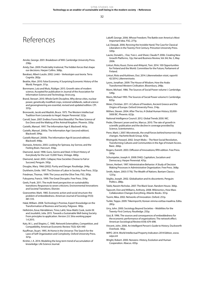# <span id="page-33-0"></span>References

- Ainslie, George. 2001. Breakdown of Will. Cambridge University Press. 258p.
- Ariely, Dan. 2009. Predictably Irrational, The hidden forces that shape our decisions. Harper Collins. 368p,
- Barabasi, Albert-Laszlo. 2002. Linkit Verkostojen uusi teoria. Terra Cognita. 282p.
- Beattie, Alan. 2010. False Economy, A Surprising Economic History of the World. Penguin. 311p.
- Bornmann, Lutz and Mutz, Rüdiger. 2015. Growth rates of modern science, Accepted for publication in Journal of the Association for Information Science and Technology. Arxiv.org.
- Brand, Stewart. 2010. Whole Earth Discipline, Why dense cities, nuclear power, genetically modified crops, restored wildlands, radical science and geoengineering are essential, revised and updated edition. CPI. 337p.
- Bronowski, Jacob and Mazlish, Bruce. 1975. The Western Intellectual Tradition from Leonardo to Hegel. Harper Perennial. 522p.
- Carroll, Sean. 2007. Endless Forms Most Beautiful: The New Science of Evo Devo and the Making of the Animal Kingdom. Phoenix. 350p.
- Castells, Manuel. 1997. The Information Age II. Blackwell. 461p.
- Castells, Manuel. 2000a. The Information Age I (second edition). Blackwell. 594p.
- Castells Manuel. 2000b. The Information Age III (second edition). Blackwell. 448p.
- Damasio, Antonio. 2003. Looking for Spinoza; Joy Sorrow, and the Feeling Brain. Harcourt. 356p.
- Diamond, Jared. 1998. Guns, Germs and Steel. A Short History of Everybody for the Last 13,000 Years, Vintage. 480p.
- Diamond, Jared. 2005. Collapse; How Societies Choose to Fail or Succeed, Penguin. 592p.
- Douglas, Mary. 1966 (2002). Purity and Danger. Routledge. 244p.
- Durkheim, Emile. 1997. The Division of Labor in Society. Free Press. 352p.
- Friedman, Thomas. 1999. The Lexus and the Olive Tree. FSG. 393p.
- Fukuyama, Francis. 1999. The Great Disruptio. Free Press. 354p.
- Geels, Frank. 2011. The multi-level perspective on sustainability transitions: Responses to seven criticisms. Environmental Innovations and Societal Transitions. Elsevier.
- Granovetter, Mark. 1985. Economic action and social structure: the problem of embeddedness. American Journal of Sociology 91(3): 481-510.
- Halal, William. 2008. Technology's Promise, Expert Knowledge on the Transformation of Business and Society. Palgrave. 180p.
- Hellström, Eeva; Hämäläinen, Timo; Lahti, Vesa-Matti; Cook, Justin W. and Jousilahti, Julia. 2015. Towards a Sustainable Well-being Society. From principles to application. Version 2.0. Sitra working paper 1.4.2015.
- Katz, M. L. and Shapiro, C. 1985. Network Externalities, Competition, and Compatibility. American Economic Review 75(3): 424-440
- Kauffman, Stuart. 1995. At Home in the Universe: The Search for the Laws of Self-Organization and Complexity. Oxford University Press. 321p.
- Kirshin, I. A. 2014. Modeling the long-term trend of accumulation of knowledge. Life Science Journal.
- Lakoff, George. 2006. Whose Freedom; The Battle over America's Most Important Idea. FSG. 277p.
- Lal, Deepak. 2006. Reviving the Invisible Hand; The Case for Classical Liberalism in the Twenty-First Century. Princeton University Press. 320p.
- Laurie, Donald L.; Doz, Yves L. and Sheer, Claude P. 2006. Creating New Growth Platforms, 12p, Harvard Business Review, Vol. 84, No. 5, May 2006.
- Linturi, Risto; Kuusi, Osmo and Ahlqvist, Toni. 2014. 100 Opportunities for Finland and the World. Committee for the Future, Parliament of Finland.
- Linturi, Risto and Kuittinen, Ossi. 2014. Liikennetiedon visiot, raportti 42/2014, Liikennevirasto.
- Lyons, Jonathan. 2009. The House of Wisdom, How the Arabs Transformed Western Civilisation. Bloombury. 248p.
- Mann, Michael. 1986. The Sources of Social Power volume I. Cambridge. 549p.
- Mann, Michael 1993. The Sources of Social Power volume II. Cambridge. 825p.
- Meier, Christian. 2011. A Culture of Freedom, Ancient Greece and the Origins of Europe. Oxford University Press. 314p.
- Mithen, Steven. 2004. After The Ice, A Global Human History 20,000- 5000 BC. Phoenix. 622p.
- National Intelligence Council. 2012. Global Trends 2030. NIC.
- Peder, Olensen Larsen and Ins, Marcus. 2010. The rate of growth in scientific publication and the decline in coverage provided by Science, Scientometrics.
- Penn, Mark J. 2007. Microtrends, the small forces behind tomorrow's big changes. Hachette Book Group. 425p.
- Rheingold, Howard. 2002. Smart Mobs The Next Social Revolution, Transforming Cultures and Communities in the Age of Instant Access. Basic. 266p
- Rogers, Everett. 2003. Diffusion of Innovations; fifth edition. Free Press. 500p.
- Schumpeter, Joseph A. 2008 (1942). Capitalism, Socialism and Democracy. Harper Perennial. 431p.
- Simon, Herbert. 1997. Administrative Behavior: A Study of Decision Making Processes in Administrative Organization. Free Press. 368p.
- Smith, Adam. 2003 (1776). The Wealth of Nations. Bantam Classics. 1231p.
- Stiglitz, Joseph. 2002. Globalisation and its discontents. Penguin: Politics. 288p.

Taleb, Nassim Nicholas. 2007. The Black Swan. Random House. 366p.

- Tapscott, Don and Williams, Anthony. 2008. Wikinomics, How Mass Collaboration Changes Everything. Atlantic Books. 351p.
- Tuomi, Ilkka. 2002. Networks of Innovation. Oxford. 251p.
- Turkki, Teppo. 2009. Tiikerinportti, Korean vimma voittaa maailma. Edita. 281p.
- Urry, John. 2000. Sociology Beyond Societies Mobilities for the Twenty-First Century. Routledge. 255p.

Uzzi, B. 1996. The sources and consequences of embeddedness for the economic performance of organisations: The network effect. American Sociological Review 61(4): 674-698.

- Vincent, John. 2006. An Intelligent Person's Guide to History. Duckworth Overlook. 185p.
- WIPO. 2014. World Intellectual Property Indicators 2014 Edition[, www.](http://www.wipo.int/portal/en/index.html) [wipo.int](http://www.wipo.int/portal/en/index.html)
- Wright, Robert. 2000. Nonzero–History, Evolution and Human Cooperation. Abacus. 435p.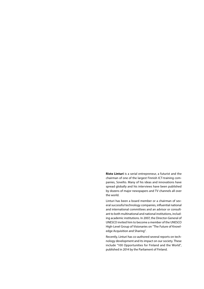**Risto Linturi** is a serial entrepreneur, a futurist and the chairman of one of the largest Finnish ICT-training companies, Sovelto. Many of his ideas and innovations have spread globally and his interviews have been published by dozens of major newspapers and TV channels all over the world.

Linturi has been a board member or a chairman of several successful technology companies, influential national and international committees and an advisor or consultant to both multinational and national institutions, including academic institutions. In 2007, the Director-General of UNESCO invited him to become a member of the UNESCO High-Level Group of Visionaries on "The Future of Knowledge Acquisition and Sharing".

Recently, Linturi has co-authored several reports on technology development and its impact on our society. These include "100 Opportunities for Finland and the World", published in 2014 by the Parliament of Finland.